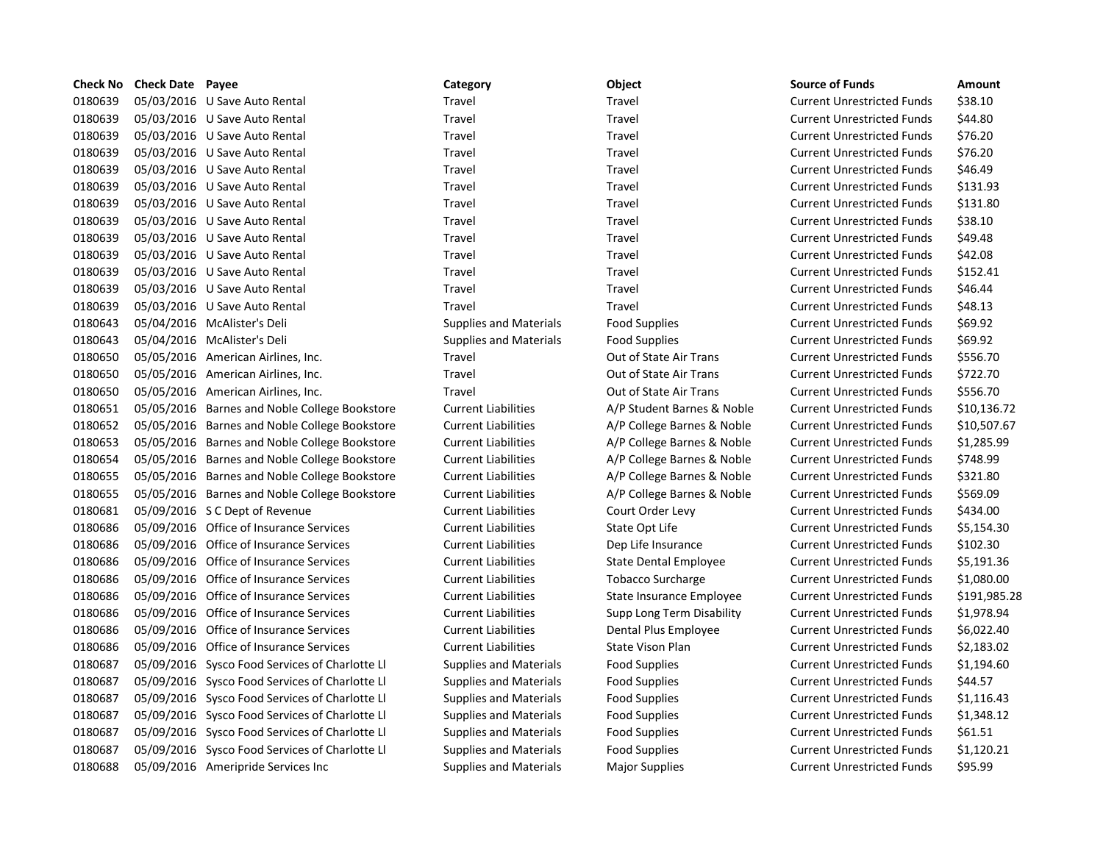|         | <b>Check No Check Date Payee</b> |                                                | Category                      | Object                       | <b>Source of Funds</b>            | Amount       |
|---------|----------------------------------|------------------------------------------------|-------------------------------|------------------------------|-----------------------------------|--------------|
| 0180639 |                                  | 05/03/2016 U Save Auto Rental                  | Travel                        | Travel                       | <b>Current Unrestricted Funds</b> | \$38.10      |
| 0180639 |                                  | 05/03/2016 U Save Auto Rental                  | Travel                        | Travel                       | <b>Current Unrestricted Funds</b> | \$44.80      |
| 0180639 |                                  | 05/03/2016 U Save Auto Rental                  | Travel                        | Travel                       | <b>Current Unrestricted Funds</b> | \$76.20      |
| 0180639 |                                  | 05/03/2016 U Save Auto Rental                  | Travel                        | Travel                       | <b>Current Unrestricted Funds</b> | \$76.20      |
| 0180639 |                                  | 05/03/2016 U Save Auto Rental                  | Travel                        | Travel                       | <b>Current Unrestricted Funds</b> | \$46.49      |
| 0180639 |                                  | 05/03/2016 U Save Auto Rental                  | Travel                        | Travel                       | <b>Current Unrestricted Funds</b> | \$131.93     |
| 0180639 |                                  | 05/03/2016 U Save Auto Rental                  | Travel                        | Travel                       | <b>Current Unrestricted Funds</b> | \$131.80     |
| 0180639 |                                  | 05/03/2016 U Save Auto Rental                  | Travel                        | Travel                       | <b>Current Unrestricted Funds</b> | \$38.10      |
| 0180639 |                                  | 05/03/2016 U Save Auto Rental                  | Travel                        | Travel                       | <b>Current Unrestricted Funds</b> | \$49.48      |
| 0180639 |                                  | 05/03/2016 U Save Auto Rental                  | Travel                        | Travel                       | <b>Current Unrestricted Funds</b> | \$42.08      |
| 0180639 |                                  | 05/03/2016 U Save Auto Rental                  | Travel                        | Travel                       | <b>Current Unrestricted Funds</b> | \$152.41     |
| 0180639 |                                  | 05/03/2016 U Save Auto Rental                  | Travel                        | Travel                       | <b>Current Unrestricted Funds</b> | \$46.44      |
| 0180639 |                                  | 05/03/2016 U Save Auto Rental                  | Travel                        | Travel                       | <b>Current Unrestricted Funds</b> | \$48.13      |
| 0180643 |                                  | 05/04/2016 McAlister's Deli                    | <b>Supplies and Materials</b> | <b>Food Supplies</b>         | <b>Current Unrestricted Funds</b> | \$69.92      |
| 0180643 |                                  | 05/04/2016 McAlister's Deli                    | Supplies and Materials        | <b>Food Supplies</b>         | <b>Current Unrestricted Funds</b> | \$69.92      |
| 0180650 |                                  | 05/05/2016 American Airlines, Inc.             | Travel                        | Out of State Air Trans       | <b>Current Unrestricted Funds</b> | \$556.70     |
| 0180650 |                                  | 05/05/2016 American Airlines, Inc.             | Travel                        | Out of State Air Trans       | <b>Current Unrestricted Funds</b> | \$722.70     |
| 0180650 |                                  | 05/05/2016 American Airlines, Inc.             | Travel                        | Out of State Air Trans       | <b>Current Unrestricted Funds</b> | \$556.70     |
| 0180651 |                                  | 05/05/2016 Barnes and Noble College Bookstore  | <b>Current Liabilities</b>    | A/P Student Barnes & Noble   | <b>Current Unrestricted Funds</b> | \$10,136.72  |
| 0180652 |                                  | 05/05/2016 Barnes and Noble College Bookstore  | <b>Current Liabilities</b>    | A/P College Barnes & Noble   | <b>Current Unrestricted Funds</b> | \$10,507.67  |
| 0180653 |                                  | 05/05/2016 Barnes and Noble College Bookstore  | <b>Current Liabilities</b>    | A/P College Barnes & Noble   | <b>Current Unrestricted Funds</b> | \$1,285.99   |
| 0180654 |                                  | 05/05/2016 Barnes and Noble College Bookstore  | <b>Current Liabilities</b>    | A/P College Barnes & Noble   | <b>Current Unrestricted Funds</b> | \$748.99     |
| 0180655 |                                  | 05/05/2016 Barnes and Noble College Bookstore  | <b>Current Liabilities</b>    | A/P College Barnes & Noble   | <b>Current Unrestricted Funds</b> | \$321.80     |
| 0180655 |                                  | 05/05/2016 Barnes and Noble College Bookstore  | <b>Current Liabilities</b>    | A/P College Barnes & Noble   | <b>Current Unrestricted Funds</b> | \$569.09     |
| 0180681 |                                  | 05/09/2016 S C Dept of Revenue                 | <b>Current Liabilities</b>    | Court Order Levy             | <b>Current Unrestricted Funds</b> | \$434.00     |
| 0180686 |                                  | 05/09/2016 Office of Insurance Services        | <b>Current Liabilities</b>    | State Opt Life               | <b>Current Unrestricted Funds</b> | \$5,154.30   |
| 0180686 |                                  | 05/09/2016 Office of Insurance Services        | <b>Current Liabilities</b>    | Dep Life Insurance           | <b>Current Unrestricted Funds</b> | \$102.30     |
| 0180686 |                                  | 05/09/2016 Office of Insurance Services        | <b>Current Liabilities</b>    | <b>State Dental Employee</b> | <b>Current Unrestricted Funds</b> | \$5,191.36   |
| 0180686 |                                  | 05/09/2016 Office of Insurance Services        | <b>Current Liabilities</b>    | <b>Tobacco Surcharge</b>     | <b>Current Unrestricted Funds</b> | \$1,080.00   |
| 0180686 |                                  | 05/09/2016 Office of Insurance Services        | <b>Current Liabilities</b>    | State Insurance Employee     | <b>Current Unrestricted Funds</b> | \$191,985.28 |
| 0180686 |                                  | 05/09/2016 Office of Insurance Services        | <b>Current Liabilities</b>    | Supp Long Term Disability    | <b>Current Unrestricted Funds</b> | \$1,978.94   |
| 0180686 |                                  | 05/09/2016 Office of Insurance Services        | <b>Current Liabilities</b>    | Dental Plus Employee         | <b>Current Unrestricted Funds</b> | \$6,022.40   |
| 0180686 |                                  | 05/09/2016 Office of Insurance Services        | <b>Current Liabilities</b>    | State Vison Plan             | <b>Current Unrestricted Funds</b> | \$2,183.02   |
| 0180687 |                                  | 05/09/2016 Sysco Food Services of Charlotte LI | Supplies and Materials        | <b>Food Supplies</b>         | <b>Current Unrestricted Funds</b> | \$1,194.60   |
| 0180687 |                                  | 05/09/2016 Sysco Food Services of Charlotte LI | <b>Supplies and Materials</b> | <b>Food Supplies</b>         | <b>Current Unrestricted Funds</b> | \$44.57      |
| 0180687 |                                  | 05/09/2016 Sysco Food Services of Charlotte LI | Supplies and Materials        | <b>Food Supplies</b>         | <b>Current Unrestricted Funds</b> | \$1,116.43   |
| 0180687 |                                  | 05/09/2016 Sysco Food Services of Charlotte Ll | <b>Supplies and Materials</b> | <b>Food Supplies</b>         | <b>Current Unrestricted Funds</b> | \$1,348.12   |
| 0180687 |                                  | 05/09/2016 Sysco Food Services of Charlotte LI | <b>Supplies and Materials</b> | <b>Food Supplies</b>         | <b>Current Unrestricted Funds</b> | \$61.51      |
| 0180687 |                                  | 05/09/2016 Sysco Food Services of Charlotte LI | <b>Supplies and Materials</b> | <b>Food Supplies</b>         | <b>Current Unrestricted Funds</b> | \$1,120.21   |
| 0180688 |                                  | 05/09/2016 Ameripride Services Inc             | <b>Supplies and Materials</b> | <b>Major Supplies</b>        | <b>Current Unrestricted Funds</b> | \$95.99      |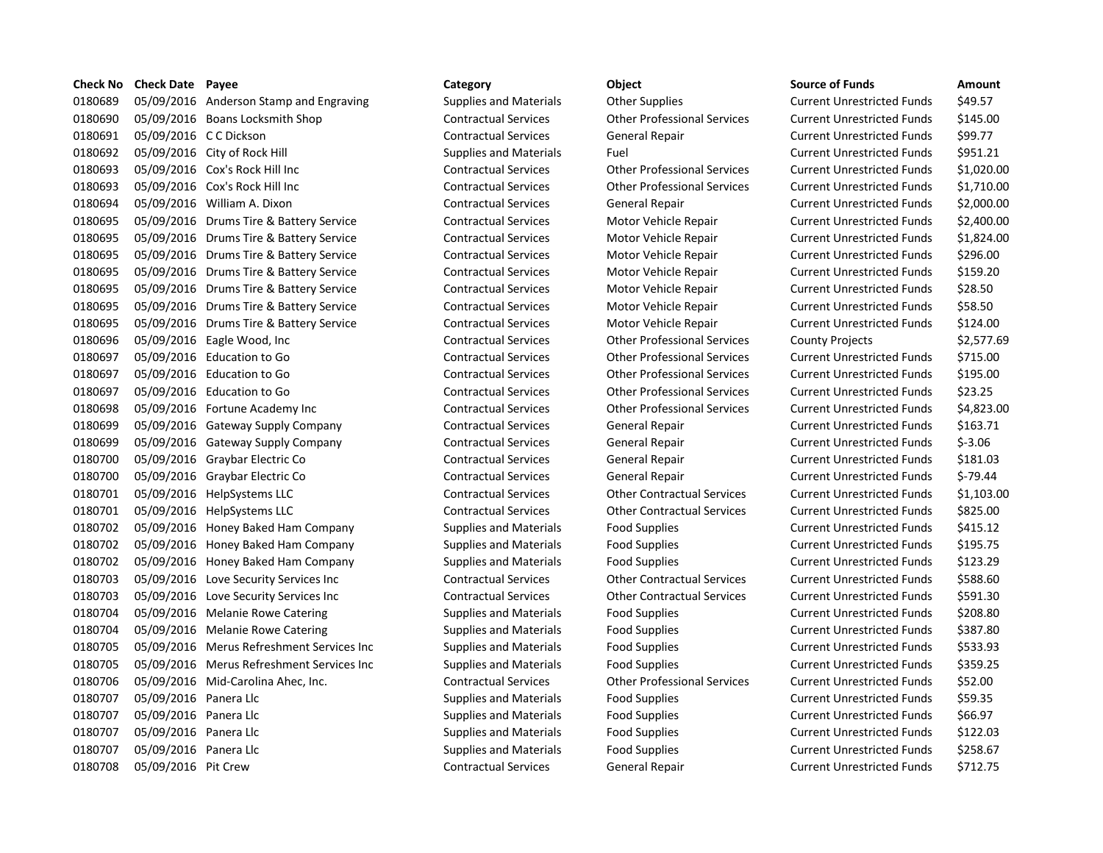| <b>Check No</b> | <b>Check Date Payee</b> |                                           | Category                      | Object                             | <b>Source of Funds</b>            | Amount     |
|-----------------|-------------------------|-------------------------------------------|-------------------------------|------------------------------------|-----------------------------------|------------|
| 0180689         |                         | 05/09/2016 Anderson Stamp and Engraving   | Supplies and Materials        | <b>Other Supplies</b>              | <b>Current Unrestricted Funds</b> | \$49.57    |
| 0180690         |                         | 05/09/2016 Boans Locksmith Shop           | <b>Contractual Services</b>   | <b>Other Professional Services</b> | <b>Current Unrestricted Funds</b> | \$145.00   |
| 0180691         | 05/09/2016 C C Dickson  |                                           | <b>Contractual Services</b>   | General Repair                     | <b>Current Unrestricted Funds</b> | \$99.77    |
| 0180692         |                         | 05/09/2016 City of Rock Hill              | <b>Supplies and Materials</b> | Fuel                               | <b>Current Unrestricted Funds</b> | \$951.21   |
| 0180693         |                         | 05/09/2016 Cox's Rock Hill Inc            | <b>Contractual Services</b>   | <b>Other Professional Services</b> | <b>Current Unrestricted Funds</b> | \$1,020.00 |
| 0180693         |                         | 05/09/2016 Cox's Rock Hill Inc            | <b>Contractual Services</b>   | <b>Other Professional Services</b> | <b>Current Unrestricted Funds</b> | \$1,710.00 |
| 0180694         |                         | 05/09/2016 William A. Dixon               | <b>Contractual Services</b>   | <b>General Repair</b>              | <b>Current Unrestricted Funds</b> | \$2,000.00 |
| 0180695         |                         | 05/09/2016 Drums Tire & Battery Service   | <b>Contractual Services</b>   | Motor Vehicle Repair               | <b>Current Unrestricted Funds</b> | \$2,400.00 |
| 0180695         |                         | 05/09/2016 Drums Tire & Battery Service   | <b>Contractual Services</b>   | Motor Vehicle Repair               | <b>Current Unrestricted Funds</b> | \$1,824.00 |
| 0180695         |                         | 05/09/2016 Drums Tire & Battery Service   | <b>Contractual Services</b>   | Motor Vehicle Repair               | <b>Current Unrestricted Funds</b> | \$296.00   |
| 0180695         |                         | 05/09/2016 Drums Tire & Battery Service   | <b>Contractual Services</b>   | Motor Vehicle Repair               | <b>Current Unrestricted Funds</b> | \$159.20   |
| 0180695         |                         | 05/09/2016 Drums Tire & Battery Service   | <b>Contractual Services</b>   | Motor Vehicle Repair               | <b>Current Unrestricted Funds</b> | \$28.50    |
| 0180695         |                         | 05/09/2016 Drums Tire & Battery Service   | <b>Contractual Services</b>   | Motor Vehicle Repair               | <b>Current Unrestricted Funds</b> | \$58.50    |
| 0180695         |                         | 05/09/2016 Drums Tire & Battery Service   | <b>Contractual Services</b>   | Motor Vehicle Repair               | <b>Current Unrestricted Funds</b> | \$124.00   |
| 0180696         |                         | 05/09/2016 Eagle Wood, Inc.               | <b>Contractual Services</b>   | <b>Other Professional Services</b> | <b>County Projects</b>            | \$2,577.69 |
| 0180697         |                         | 05/09/2016 Education to Go                | <b>Contractual Services</b>   | <b>Other Professional Services</b> | <b>Current Unrestricted Funds</b> | \$715.00   |
| 0180697         |                         | 05/09/2016 Education to Go                | <b>Contractual Services</b>   | <b>Other Professional Services</b> | <b>Current Unrestricted Funds</b> | \$195.00   |
| 0180697         |                         | 05/09/2016 Education to Go                | <b>Contractual Services</b>   | <b>Other Professional Services</b> | <b>Current Unrestricted Funds</b> | \$23.25    |
| 0180698         |                         | 05/09/2016 Fortune Academy Inc            | <b>Contractual Services</b>   | <b>Other Professional Services</b> | <b>Current Unrestricted Funds</b> | \$4,823.00 |
| 0180699         |                         | 05/09/2016 Gateway Supply Company         | <b>Contractual Services</b>   | General Repair                     | <b>Current Unrestricted Funds</b> | \$163.71   |
| 0180699         |                         | 05/09/2016 Gateway Supply Company         | <b>Contractual Services</b>   | General Repair                     | <b>Current Unrestricted Funds</b> | $$-3.06$   |
| 0180700         |                         | 05/09/2016 Graybar Electric Co            | <b>Contractual Services</b>   | General Repair                     | <b>Current Unrestricted Funds</b> | \$181.03   |
| 0180700         |                         | 05/09/2016 Graybar Electric Co            | <b>Contractual Services</b>   | General Repair                     | <b>Current Unrestricted Funds</b> | $$-79.44$  |
| 0180701         |                         | 05/09/2016 HelpSystems LLC                | <b>Contractual Services</b>   | <b>Other Contractual Services</b>  | <b>Current Unrestricted Funds</b> | \$1,103.00 |
| 0180701         |                         | 05/09/2016 HelpSystems LLC                | <b>Contractual Services</b>   | <b>Other Contractual Services</b>  | <b>Current Unrestricted Funds</b> | \$825.00   |
| 0180702         |                         | 05/09/2016 Honey Baked Ham Company        | <b>Supplies and Materials</b> | <b>Food Supplies</b>               | <b>Current Unrestricted Funds</b> | \$415.12   |
| 0180702         |                         | 05/09/2016 Honey Baked Ham Company        | Supplies and Materials        | <b>Food Supplies</b>               | <b>Current Unrestricted Funds</b> | \$195.75   |
| 0180702         |                         | 05/09/2016 Honey Baked Ham Company        | <b>Supplies and Materials</b> | <b>Food Supplies</b>               | <b>Current Unrestricted Funds</b> | \$123.29   |
| 0180703         |                         | 05/09/2016 Love Security Services Inc     | <b>Contractual Services</b>   | <b>Other Contractual Services</b>  | <b>Current Unrestricted Funds</b> | \$588.60   |
| 0180703         |                         | 05/09/2016 Love Security Services Inc     | <b>Contractual Services</b>   | <b>Other Contractual Services</b>  | <b>Current Unrestricted Funds</b> | \$591.30   |
| 0180704         |                         | 05/09/2016 Melanie Rowe Catering          | <b>Supplies and Materials</b> | <b>Food Supplies</b>               | <b>Current Unrestricted Funds</b> | \$208.80   |
| 0180704         |                         | 05/09/2016 Melanie Rowe Catering          | Supplies and Materials        | <b>Food Supplies</b>               | <b>Current Unrestricted Funds</b> | \$387.80   |
| 0180705         |                         | 05/09/2016 Merus Refreshment Services Inc | Supplies and Materials        | <b>Food Supplies</b>               | <b>Current Unrestricted Funds</b> | \$533.93   |
| 0180705         |                         | 05/09/2016 Merus Refreshment Services Inc | <b>Supplies and Materials</b> | <b>Food Supplies</b>               | <b>Current Unrestricted Funds</b> | \$359.25   |
| 0180706         |                         | 05/09/2016 Mid-Carolina Ahec, Inc.        | <b>Contractual Services</b>   | <b>Other Professional Services</b> | <b>Current Unrestricted Funds</b> | \$52.00    |
| 0180707         | 05/09/2016 Panera Llc   |                                           | Supplies and Materials        | <b>Food Supplies</b>               | <b>Current Unrestricted Funds</b> | \$59.35    |
| 0180707         | 05/09/2016 Panera Llc   |                                           | <b>Supplies and Materials</b> | <b>Food Supplies</b>               | <b>Current Unrestricted Funds</b> | \$66.97    |
| 0180707         | 05/09/2016 Panera Llc   |                                           | Supplies and Materials        | <b>Food Supplies</b>               | <b>Current Unrestricted Funds</b> | \$122.03   |
| 0180707         | 05/09/2016 Panera Llc   |                                           | <b>Supplies and Materials</b> | <b>Food Supplies</b>               | <b>Current Unrestricted Funds</b> | \$258.67   |
| 0180708         | 05/09/2016 Pit Crew     |                                           | <b>Contractual Services</b>   | <b>General Repair</b>              | <b>Current Unrestricted Funds</b> | \$712.75   |
|                 |                         |                                           |                               |                                    |                                   |            |

# Contractual Services **Contractual Services** Other Professional Services Contractual Services **Contractual Services** Other Professional Services Contractual Services **Contractual Services** Other Professional Services Contractual Services **Contractual Services** Contractual Services Contractual Services **Contractual Services** Contractual Services Contractual Services **Inco Contractual Services** Contractual Services Contractual Services **Contractual Services** Other Contractual Services Contractual Services **Contractual Services** Other Professional Services

| Category                      | Object                             | <b>Source of Funds</b>            | Amount     |
|-------------------------------|------------------------------------|-----------------------------------|------------|
| <b>Supplies and Materials</b> | <b>Other Supplies</b>              | <b>Current Unrestricted Funds</b> | \$49.57    |
| <b>Contractual Services</b>   | <b>Other Professional Services</b> | <b>Current Unrestricted Funds</b> | \$145.00   |
| <b>Contractual Services</b>   | General Repair                     | <b>Current Unrestricted Funds</b> | \$99.77    |
| <b>Supplies and Materials</b> | Fuel                               | <b>Current Unrestricted Funds</b> | \$951.21   |
| <b>Contractual Services</b>   | <b>Other Professional Services</b> | <b>Current Unrestricted Funds</b> | \$1,020.00 |
| <b>Contractual Services</b>   | <b>Other Professional Services</b> | <b>Current Unrestricted Funds</b> | \$1,710.00 |
| <b>Contractual Services</b>   | General Repair                     | <b>Current Unrestricted Funds</b> | \$2,000.00 |
| <b>Contractual Services</b>   | Motor Vehicle Repair               | <b>Current Unrestricted Funds</b> | \$2,400.00 |
| <b>Contractual Services</b>   | Motor Vehicle Repair               | <b>Current Unrestricted Funds</b> | \$1,824.00 |
| <b>Contractual Services</b>   | Motor Vehicle Repair               | Current Unrestricted Funds        | \$296.00   |
| <b>Contractual Services</b>   | Motor Vehicle Repair               | <b>Current Unrestricted Funds</b> | \$159.20   |
| <b>Contractual Services</b>   | Motor Vehicle Repair               | <b>Current Unrestricted Funds</b> | \$28.50    |
| <b>Contractual Services</b>   | Motor Vehicle Repair               | <b>Current Unrestricted Funds</b> | \$58.50    |
| <b>Contractual Services</b>   | Motor Vehicle Repair               | <b>Current Unrestricted Funds</b> | \$124.00   |
| <b>Contractual Services</b>   | <b>Other Professional Services</b> | <b>County Projects</b>            | \$2,577.69 |
| <b>Contractual Services</b>   | <b>Other Professional Services</b> | <b>Current Unrestricted Funds</b> | \$715.00   |
| <b>Contractual Services</b>   | <b>Other Professional Services</b> | <b>Current Unrestricted Funds</b> | \$195.00   |
| <b>Contractual Services</b>   | <b>Other Professional Services</b> | <b>Current Unrestricted Funds</b> | \$23.25    |
| <b>Contractual Services</b>   | <b>Other Professional Services</b> | <b>Current Unrestricted Funds</b> | \$4,823.00 |
| <b>Contractual Services</b>   | General Repair                     | <b>Current Unrestricted Funds</b> | \$163.71   |
| <b>Contractual Services</b>   | General Repair                     | <b>Current Unrestricted Funds</b> | $$-3.06$   |
| <b>Contractual Services</b>   | General Repair                     | <b>Current Unrestricted Funds</b> | \$181.03   |
| <b>Contractual Services</b>   | General Repair                     | <b>Current Unrestricted Funds</b> | $5-79.44$  |
| <b>Contractual Services</b>   | <b>Other Contractual Services</b>  | <b>Current Unrestricted Funds</b> | \$1,103.00 |
| <b>Contractual Services</b>   | <b>Other Contractual Services</b>  | <b>Current Unrestricted Funds</b> | \$825.00   |
| <b>Supplies and Materials</b> | <b>Food Supplies</b>               | <b>Current Unrestricted Funds</b> | \$415.12   |
| <b>Supplies and Materials</b> | <b>Food Supplies</b>               | <b>Current Unrestricted Funds</b> | \$195.75   |
| <b>Supplies and Materials</b> | <b>Food Supplies</b>               | <b>Current Unrestricted Funds</b> | \$123.29   |
| <b>Contractual Services</b>   | <b>Other Contractual Services</b>  | <b>Current Unrestricted Funds</b> | \$588.60   |
| <b>Contractual Services</b>   | <b>Other Contractual Services</b>  | <b>Current Unrestricted Funds</b> | \$591.30   |
| <b>Supplies and Materials</b> | <b>Food Supplies</b>               | <b>Current Unrestricted Funds</b> | \$208.80   |
| <b>Supplies and Materials</b> | <b>Food Supplies</b>               | <b>Current Unrestricted Funds</b> | \$387.80   |
| <b>Supplies and Materials</b> | <b>Food Supplies</b>               | <b>Current Unrestricted Funds</b> | \$533.93   |
| <b>Supplies and Materials</b> | <b>Food Supplies</b>               | <b>Current Unrestricted Funds</b> | \$359.25   |
| <b>Contractual Services</b>   | <b>Other Professional Services</b> | <b>Current Unrestricted Funds</b> | \$52.00    |
| <b>Supplies and Materials</b> | <b>Food Supplies</b>               | <b>Current Unrestricted Funds</b> | \$59.35    |
| <b>Supplies and Materials</b> | <b>Food Supplies</b>               | <b>Current Unrestricted Funds</b> | \$66.97    |
| <b>Supplies and Materials</b> | <b>Food Supplies</b>               | <b>Current Unrestricted Funds</b> | \$122.03   |
| <b>Supplies and Materials</b> | <b>Food Supplies</b>               | <b>Current Unrestricted Funds</b> | \$258.67   |
| Contractual Company           | Conoral Donair                     | Curront Unroctrictod Funde        | 67127      |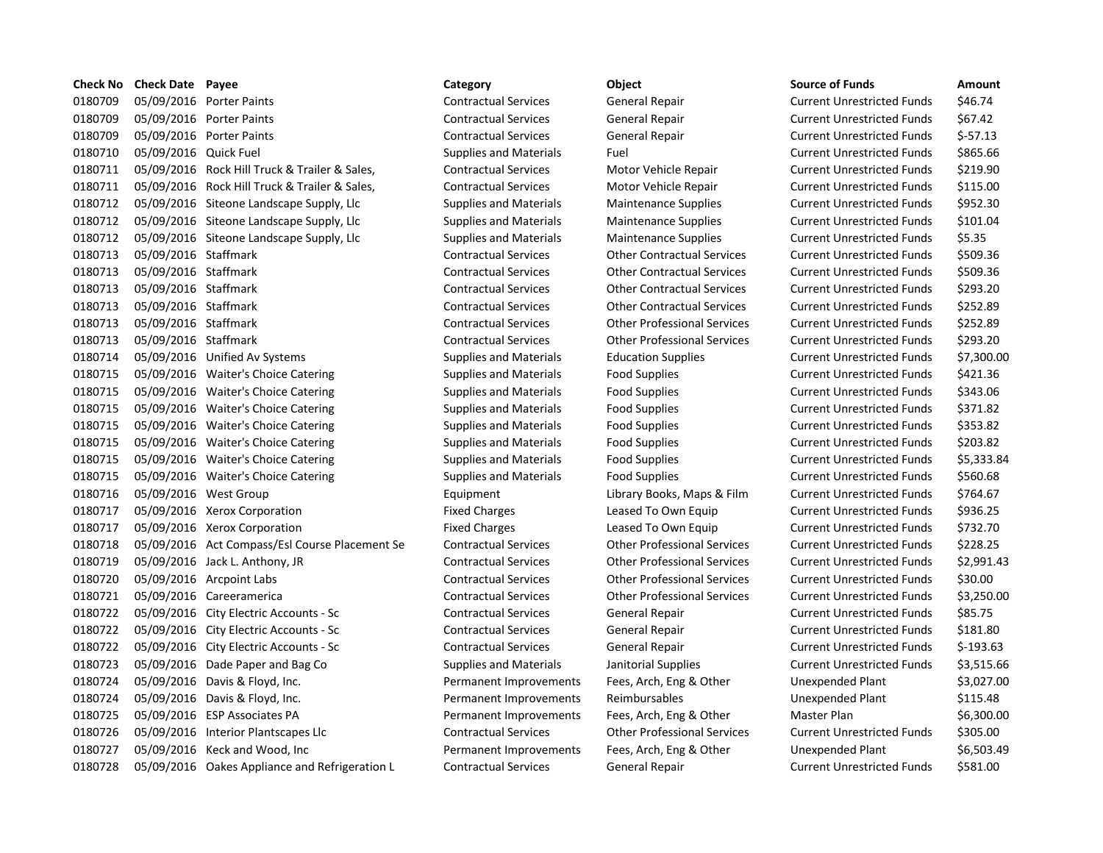|         | Check No Check Date Payee |                                                | Category                      | Object                             | <b>Source of Funds</b>            | Amount     |
|---------|---------------------------|------------------------------------------------|-------------------------------|------------------------------------|-----------------------------------|------------|
| 0180709 |                           | 05/09/2016 Porter Paints                       | <b>Contractual Services</b>   | General Repair                     | <b>Current Unrestricted Funds</b> | \$46.74    |
| 0180709 |                           | 05/09/2016 Porter Paints                       | <b>Contractual Services</b>   | General Repair                     | <b>Current Unrestricted Funds</b> | \$67.42    |
| 0180709 |                           | 05/09/2016 Porter Paints                       | <b>Contractual Services</b>   | General Repair                     | <b>Current Unrestricted Funds</b> | $$-57.13$  |
| 0180710 | 05/09/2016 Quick Fuel     |                                                | <b>Supplies and Materials</b> | Fuel                               | <b>Current Unrestricted Funds</b> | \$865.66   |
| 0180711 |                           | 05/09/2016 Rock Hill Truck & Trailer & Sales,  | <b>Contractual Services</b>   | Motor Vehicle Repair               | <b>Current Unrestricted Funds</b> | \$219.90   |
| 0180711 |                           | 05/09/2016 Rock Hill Truck & Trailer & Sales,  | <b>Contractual Services</b>   | Motor Vehicle Repair               | <b>Current Unrestricted Funds</b> | \$115.00   |
| 0180712 |                           | 05/09/2016 Siteone Landscape Supply, Llc       | <b>Supplies and Materials</b> | <b>Maintenance Supplies</b>        | <b>Current Unrestricted Funds</b> | \$952.30   |
| 0180712 |                           | 05/09/2016 Siteone Landscape Supply, Llc       | Supplies and Materials        | Maintenance Supplies               | <b>Current Unrestricted Funds</b> | \$101.04   |
| 0180712 |                           | 05/09/2016 Siteone Landscape Supply, Llc       | <b>Supplies and Materials</b> | <b>Maintenance Supplies</b>        | <b>Current Unrestricted Funds</b> | \$5.35     |
| 0180713 | 05/09/2016 Staffmark      |                                                | <b>Contractual Services</b>   | <b>Other Contractual Services</b>  | <b>Current Unrestricted Funds</b> | \$509.36   |
| 0180713 | 05/09/2016 Staffmark      |                                                | <b>Contractual Services</b>   | <b>Other Contractual Services</b>  | <b>Current Unrestricted Funds</b> | \$509.36   |
| 0180713 | 05/09/2016 Staffmark      |                                                | <b>Contractual Services</b>   | <b>Other Contractual Services</b>  | <b>Current Unrestricted Funds</b> | \$293.20   |
| 0180713 | 05/09/2016 Staffmark      |                                                | <b>Contractual Services</b>   | <b>Other Contractual Services</b>  | <b>Current Unrestricted Funds</b> | \$252.89   |
| 0180713 | 05/09/2016 Staffmark      |                                                | <b>Contractual Services</b>   | <b>Other Professional Services</b> | <b>Current Unrestricted Funds</b> | \$252.89   |
| 0180713 | 05/09/2016 Staffmark      |                                                | <b>Contractual Services</b>   | <b>Other Professional Services</b> | <b>Current Unrestricted Funds</b> | \$293.20   |
| 0180714 |                           | 05/09/2016 Unified Av Systems                  | Supplies and Materials        | <b>Education Supplies</b>          | <b>Current Unrestricted Funds</b> | \$7,300.0  |
| 0180715 |                           | 05/09/2016 Waiter's Choice Catering            | Supplies and Materials        | <b>Food Supplies</b>               | <b>Current Unrestricted Funds</b> | \$421.36   |
| 0180715 |                           | 05/09/2016 Waiter's Choice Catering            | Supplies and Materials        | <b>Food Supplies</b>               | <b>Current Unrestricted Funds</b> | \$343.06   |
| 0180715 |                           | 05/09/2016 Waiter's Choice Catering            | <b>Supplies and Materials</b> | <b>Food Supplies</b>               | <b>Current Unrestricted Funds</b> | \$371.82   |
| 0180715 |                           | 05/09/2016 Waiter's Choice Catering            | Supplies and Materials        | <b>Food Supplies</b>               | <b>Current Unrestricted Funds</b> | \$353.82   |
| 0180715 |                           | 05/09/2016 Waiter's Choice Catering            | Supplies and Materials        | <b>Food Supplies</b>               | <b>Current Unrestricted Funds</b> | \$203.82   |
| 0180715 |                           | 05/09/2016 Waiter's Choice Catering            | Supplies and Materials        | <b>Food Supplies</b>               | <b>Current Unrestricted Funds</b> | \$5,333.8  |
| 0180715 |                           | 05/09/2016 Waiter's Choice Catering            | Supplies and Materials        | <b>Food Supplies</b>               | <b>Current Unrestricted Funds</b> | \$560.68   |
| 0180716 |                           | 05/09/2016 West Group                          | Equipment                     | Library Books, Maps & Film         | <b>Current Unrestricted Funds</b> | \$764.67   |
| 0180717 |                           | 05/09/2016 Xerox Corporation                   | <b>Fixed Charges</b>          | Leased To Own Equip                | <b>Current Unrestricted Funds</b> | \$936.25   |
| 0180717 |                           | 05/09/2016 Xerox Corporation                   | <b>Fixed Charges</b>          | Leased To Own Equip                | <b>Current Unrestricted Funds</b> | \$732.70   |
| 0180718 |                           | 05/09/2016 Act Compass/Esl Course Placement Se | <b>Contractual Services</b>   | <b>Other Professional Services</b> | <b>Current Unrestricted Funds</b> | \$228.25   |
| 0180719 |                           | 05/09/2016 Jack L. Anthony, JR                 | <b>Contractual Services</b>   | <b>Other Professional Services</b> | <b>Current Unrestricted Funds</b> | \$2,991.4  |
| 0180720 |                           | 05/09/2016 Arcpoint Labs                       | <b>Contractual Services</b>   | <b>Other Professional Services</b> | <b>Current Unrestricted Funds</b> | \$30.00    |
| 0180721 |                           | 05/09/2016 Careeramerica                       | <b>Contractual Services</b>   | <b>Other Professional Services</b> | <b>Current Unrestricted Funds</b> | \$3,250.0  |
| 0180722 |                           | 05/09/2016 City Electric Accounts - Sc         | <b>Contractual Services</b>   | General Repair                     | <b>Current Unrestricted Funds</b> | \$85.75    |
| 0180722 |                           | 05/09/2016 City Electric Accounts - Sc         | <b>Contractual Services</b>   | General Repair                     | <b>Current Unrestricted Funds</b> | \$181.80   |
| 0180722 |                           | 05/09/2016 City Electric Accounts - Sc         | <b>Contractual Services</b>   | General Repair                     | <b>Current Unrestricted Funds</b> | $$-193.63$ |
| 0180723 |                           | 05/09/2016 Dade Paper and Bag Co               | <b>Supplies and Materials</b> | Janitorial Supplies                | <b>Current Unrestricted Funds</b> | \$3,515.6  |
| 0180724 |                           | 05/09/2016 Davis & Floyd, Inc.                 | Permanent Improvements        | Fees, Arch, Eng & Other            | Unexpended Plant                  | \$3,027.0  |
| 0180724 |                           | 05/09/2016 Davis & Floyd, Inc.                 | Permanent Improvements        | Reimbursables                      | Unexpended Plant                  | \$115.48   |
| 0180725 |                           | 05/09/2016 ESP Associates PA                   | Permanent Improvements        | Fees, Arch, Eng & Other            | <b>Master Plan</b>                | \$6,300.0  |
| 0180726 |                           | 05/09/2016 Interior Plantscapes Llc            | <b>Contractual Services</b>   | <b>Other Professional Services</b> | <b>Current Unrestricted Funds</b> | \$305.00   |
| 0180727 |                           | 05/09/2016 Keck and Wood, Inc                  | Permanent Improvements        | Fees, Arch, Eng & Other            | Unexpended Plant                  | \$6,503.4  |
| 0180728 |                           | 05/09/2016 Oakes Appliance and Refrigeration L | <b>Contractual Services</b>   | General Repair                     | <b>Current Unrestricted Funds</b> | \$581.00   |

## Contractual Services **Statemark Contractual Services** Contractual Services Contractual Services **Contractual Services** Other Contractual Services Contractual Services **Contractual Services** Other Contractual Services Contractual Services **Contractual Services** Other Contractual Services Contractual Services **Contractual Services** Other Professional Services Contractual Services **Statemark Contractual Services** Other Professional Services Equipment Library Books, Maps & Film Se Contractual Services **Contractual Services** Current Services Current Services Contractual Services **Contractual Services** Other Professional Services Contractual Services **Contractual Services** Contractual Services

| Category                      | Object                             | <b>Source of Funds</b>            | Amount     |
|-------------------------------|------------------------------------|-----------------------------------|------------|
| <b>Contractual Services</b>   | General Repair                     | <b>Current Unrestricted Funds</b> | \$46.74    |
| <b>Contractual Services</b>   | General Repair                     | <b>Current Unrestricted Funds</b> | \$67.42    |
| <b>Contractual Services</b>   | General Repair                     | <b>Current Unrestricted Funds</b> | $$-57.13$  |
| <b>Supplies and Materials</b> | Fuel                               | <b>Current Unrestricted Funds</b> | \$865.66   |
| <b>Contractual Services</b>   | Motor Vehicle Repair               | <b>Current Unrestricted Funds</b> | \$219.90   |
| <b>Contractual Services</b>   | Motor Vehicle Repair               | <b>Current Unrestricted Funds</b> | \$115.00   |
| <b>Supplies and Materials</b> | <b>Maintenance Supplies</b>        | <b>Current Unrestricted Funds</b> | \$952.30   |
| <b>Supplies and Materials</b> | <b>Maintenance Supplies</b>        | <b>Current Unrestricted Funds</b> | \$101.04   |
| <b>Supplies and Materials</b> | <b>Maintenance Supplies</b>        | <b>Current Unrestricted Funds</b> | \$5.35     |
| <b>Contractual Services</b>   | <b>Other Contractual Services</b>  | <b>Current Unrestricted Funds</b> | \$509.36   |
| <b>Contractual Services</b>   | <b>Other Contractual Services</b>  | <b>Current Unrestricted Funds</b> | \$509.36   |
| <b>Contractual Services</b>   | <b>Other Contractual Services</b>  | <b>Current Unrestricted Funds</b> | \$293.20   |
| <b>Contractual Services</b>   | <b>Other Contractual Services</b>  | <b>Current Unrestricted Funds</b> | \$252.89   |
| <b>Contractual Services</b>   | <b>Other Professional Services</b> | <b>Current Unrestricted Funds</b> | \$252.89   |
| <b>Contractual Services</b>   | <b>Other Professional Services</b> | <b>Current Unrestricted Funds</b> | \$293.20   |
| <b>Supplies and Materials</b> | <b>Education Supplies</b>          | <b>Current Unrestricted Funds</b> | \$7,300.00 |
| <b>Supplies and Materials</b> | <b>Food Supplies</b>               | <b>Current Unrestricted Funds</b> | \$421.36   |
| <b>Supplies and Materials</b> | <b>Food Supplies</b>               | <b>Current Unrestricted Funds</b> | \$343.06   |
| <b>Supplies and Materials</b> | <b>Food Supplies</b>               | <b>Current Unrestricted Funds</b> | \$371.82   |
| <b>Supplies and Materials</b> | <b>Food Supplies</b>               | <b>Current Unrestricted Funds</b> | \$353.82   |
| <b>Supplies and Materials</b> | <b>Food Supplies</b>               | <b>Current Unrestricted Funds</b> | \$203.82   |
| <b>Supplies and Materials</b> | <b>Food Supplies</b>               | <b>Current Unrestricted Funds</b> | \$5,333.84 |
| <b>Supplies and Materials</b> | <b>Food Supplies</b>               | <b>Current Unrestricted Funds</b> | \$560.68   |
| Equipment                     | Library Books, Maps & Film         | <b>Current Unrestricted Funds</b> | \$764.67   |
| <b>Fixed Charges</b>          | Leased To Own Equip                | <b>Current Unrestricted Funds</b> | \$936.25   |
| <b>Fixed Charges</b>          | Leased To Own Equip                | <b>Current Unrestricted Funds</b> | \$732.70   |
| <b>Contractual Services</b>   | <b>Other Professional Services</b> | <b>Current Unrestricted Funds</b> | \$228.25   |
| <b>Contractual Services</b>   | <b>Other Professional Services</b> | <b>Current Unrestricted Funds</b> | \$2,991.43 |
| <b>Contractual Services</b>   | <b>Other Professional Services</b> | <b>Current Unrestricted Funds</b> | \$30.00    |
| <b>Contractual Services</b>   | <b>Other Professional Services</b> | <b>Current Unrestricted Funds</b> | \$3,250.00 |
| <b>Contractual Services</b>   | General Repair                     | <b>Current Unrestricted Funds</b> | \$85.75    |
| <b>Contractual Services</b>   | General Repair                     | <b>Current Unrestricted Funds</b> | \$181.80   |
| <b>Contractual Services</b>   | General Repair                     | <b>Current Unrestricted Funds</b> | $$-193.63$ |
| <b>Supplies and Materials</b> | Janitorial Supplies                | <b>Current Unrestricted Funds</b> | \$3,515.66 |
| Permanent Improvements        | Fees, Arch, Eng & Other            | Unexpended Plant                  | \$3,027.00 |
| Permanent Improvements        | Reimbursables                      | Unexpended Plant                  | \$115.48   |
| Permanent Improvements        | Fees, Arch, Eng & Other            | Master Plan                       | \$6,300.00 |
| <b>Contractual Services</b>   | <b>Other Professional Services</b> | <b>Current Unrestricted Funds</b> | \$305.00   |
| Permanent Improvements        | Fees, Arch, Eng & Other            | Unexpended Plant                  | \$6,503.49 |
| Contractual Sorvices          | Gonoral Popair                     | Curront Unroctrictod Funde        | CEQ1 NO    |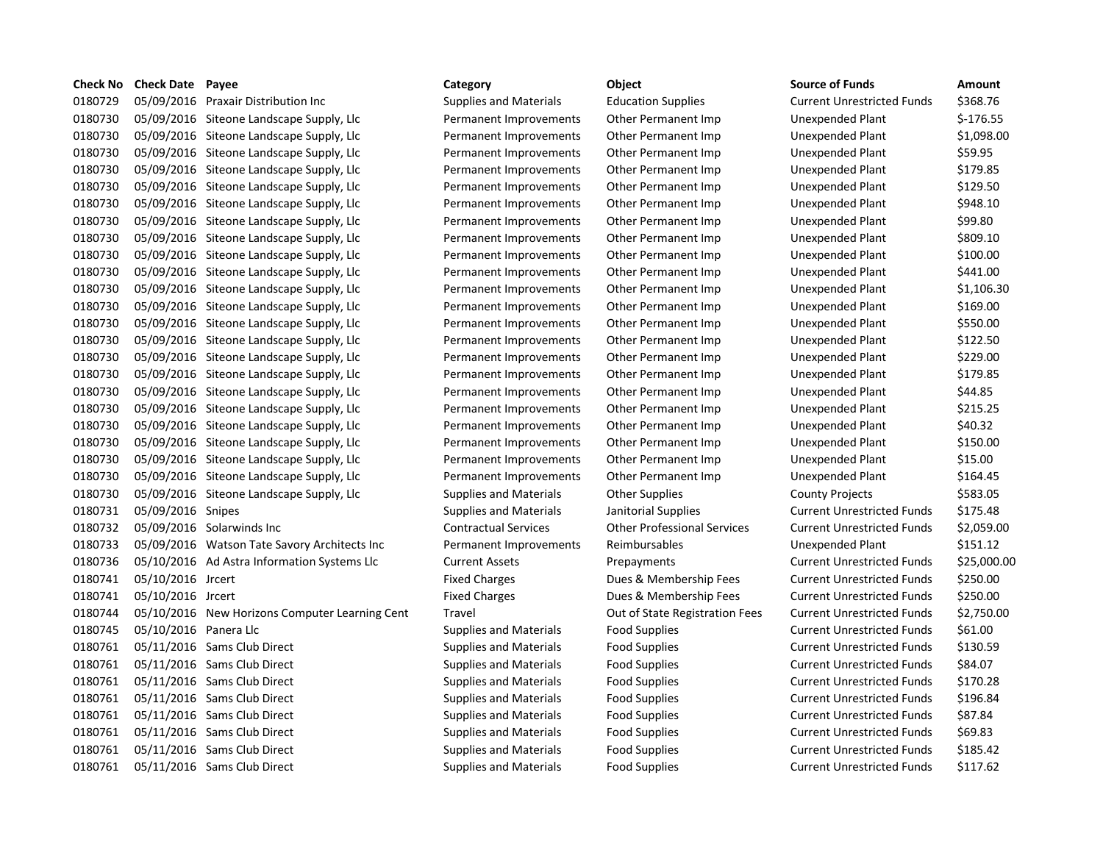| LIIELK IVU | LIIELK DALE | rayee                                  |
|------------|-------------|----------------------------------------|
| 0180729    | 05/09/2016  | <b>Praxair Distribution Inc</b>        |
| 0180730    | 05/09/2016  | Siteone Landscape Supply, Llc          |
| 0180730    | 05/09/2016  | Siteone Landscape Supply, Llc          |
| 0180730    | 05/09/2016  | Siteone Landscape Supply, Llc          |
| 0180730    | 05/09/2016  | Siteone Landscape Supply, Llc          |
| 0180730    | 05/09/2016  | Siteone Landscape Supply, Llc          |
| 0180730    | 05/09/2016  | Siteone Landscape Supply, Llc          |
| 0180730    | 05/09/2016  | Siteone Landscape Supply, Llc          |
| 0180730    | 05/09/2016  | Siteone Landscape Supply, Llc          |
| 0180730    | 05/09/2016  | Siteone Landscape Supply, Llc          |
| 0180730    | 05/09/2016  | Siteone Landscape Supply, Llc          |
| 0180730    | 05/09/2016  | Siteone Landscape Supply, Llc          |
| 0180730    | 05/09/2016  | Siteone Landscape Supply, Llc          |
| 0180730    | 05/09/2016  | Siteone Landscape Supply, Llc          |
| 0180730    | 05/09/2016  | Siteone Landscape Supply, Llc          |
| 0180730    | 05/09/2016  | Siteone Landscape Supply, Llc          |
| 0180730    | 05/09/2016  | Siteone Landscape Supply, Llc          |
| 0180730    | 05/09/2016  | Siteone Landscape Supply, Llc          |
| 0180730    | 05/09/2016  | Siteone Landscape Supply, Llc          |
| 0180730    | 05/09/2016  | Siteone Landscape Supply, Llc          |
| 0180730    | 05/09/2016  | Siteone Landscape Supply, Llc          |
| 0180730    | 05/09/2016  | Siteone Landscape Supply, Llc          |
| 0180730    | 05/09/2016  | Siteone Landscape Supply, Llc          |
| 0180730    | 05/09/2016  | Siteone Landscape Supply, Llc          |
| 0180731    | 05/09/2016  | Snipes                                 |
| 0180732    | 05/09/2016  | Solarwinds Inc                         |
| 0180733    | 05/09/2016  | <b>Watson Tate Savory Architects I</b> |
| 0180736    | 05/10/2016  | Ad Astra Information Systems Ll        |
| 0180741    | 05/10/2016  | <b>Jrcert</b>                          |
| 0180741    | 05/10/2016  | Jrcert                                 |
| 0180744    | 05/10/2016  | New Horizons Computer Learnir          |
| 0180745    | 05/10/2016  | Panera Llc                             |
| 0180761    | 05/11/2016  | <b>Sams Club Direct</b>                |
| 0180761    | 05/11/2016  | Sams Club Direct                       |
| 0180761    | 05/11/2016  | <b>Sams Club Direct</b>                |
| 0180761    | 05/11/2016  | <b>Sams Club Direct</b>                |
| 0180761    | 05/11/2016  | Sams Club Direct                       |
| 0180761    | 05/11/2016  | <b>Sams Club Direct</b>                |
| 0180761    | 05/11/2016  | <b>Sams Club Direct</b>                |
| 0180761    | 05/11/2016  | <b>Sams Club Direct</b>                |

**Check No Check Date Payee Category Object Source of Funds Amount** Supplies and Materials **Education Supplies 6** 001 Current Unrestricted Funds 5368.76 Permanent Improvements Other Permanent Imp Unexpended Plant \$-176.55 Permanent Improvements Other Permanent Imp Unexpended Plant \$1,098.00 Permanent Improvements Other Permanent Imp Unexpended Plant \$59.95 Permanent Improvements Other Permanent Imp Unexpended Plant \$179.85 Permanent Improvements Other Permanent Imp Unexpended Plant \$129.50 Permanent Improvements Other Permanent Imp Unexpended Plant \$948.10 Permanent Improvements Other Permanent Imp Unexpended Plant \$99.80 Permanent Improvements Other Permanent Imp Unexpended Plant \$809.10 Permanent Improvements Other Permanent Imp Unexpended Plant \$100.00 Permanent Improvements Other Permanent Imp Unexpended Plant \$441.00 Permanent Improvements Other Permanent Imp Unexpended Plant \$1,106.30 Permanent Improvements Other Permanent Imp Unexpended Plant \$169.00 Permanent Improvements Other Permanent Imp Unexpended Plant \$550.00 Permanent Improvements Other Permanent Imp Unexpended Plant \$122.50 Permanent Improvements Other Permanent Imp Unexpended Plant \$229.00 Permanent Improvements Other Permanent Imp Unexpended Plant \$179.85 Permanent Improvements Other Permanent Imp Unexpended Plant \$44.85 Permanent Improvements Other Permanent Imp Unexpended Plant \$215.25 Permanent Improvements Other Permanent Imp Unexpended Plant \$40.32 Permanent Improvements Other Permanent Imp Unexpended Plant \$150.00 Permanent Improvements Other Permanent Imp Unexpended Plant \$15.00 Permanent Improvements Other Permanent Imp Unexpended Plant \$164.45 Supplies and Materials **Other Supplies County Projects** \$583.05 0180731 05/09/2016 Snipes Supplies and Materials Janitorial Supplies Current Unrestricted Funds \$175.48 Contractual Services **Other Professional Services** Current Unrestricted Funds \$2,059.00 Inc Permanent Improvements Reimbursables Unexpended Plant \$151.12 0132 01675/10/2016 Current Assets Current Assets Prepayments Current Unrestricted Funds \$25,000.00 Fixed Charges **1928** Dues & Membership Fees Current Unrestricted Funds \$250.00 Fixed Charges **12074** Dues & Membership Fees Current Unrestricted Funds \$250.00 ng Cent Travel **Travel Computer Computer Computer Computer Contains Computer Computer Computer Computer Computer** Supplies and Materials Food Supplies **Current Unrestricted Funds** 561.00 0180761 05/11/2016 Sams Club Direct Supplies and Materials Food Supplies Current Unrestricted Funds \$130.59 0180761 05/11/2016 Sams Club Direct Supplies and Materials Food Supplies Current Unrestricted Funds \$84.07 0180761 05/11/2016 Sams Club Direct Supplies and Materials Food Supplies Current Unrestricted Funds \$170.28 0180761 05/11/2016 Sams Club Direct Supplies and Materials Food Supplies Current Unrestricted Funds \$196.84 Supplies and Materials Food Supplies **Supplies Current Unrestricted Funds** \$87.84 Supplies and Materials Food Supplies **Supplies Current Unrestricted Funds** \$69.83 0180761 05/11/2016 Sams Club Direct Supplies and Materials Food Supplies Current Unrestricted Funds \$185.42 0180761 05/11/2016 Sams Club Direct Supplies and Materials Food Supplies Current Unrestricted Funds \$117.62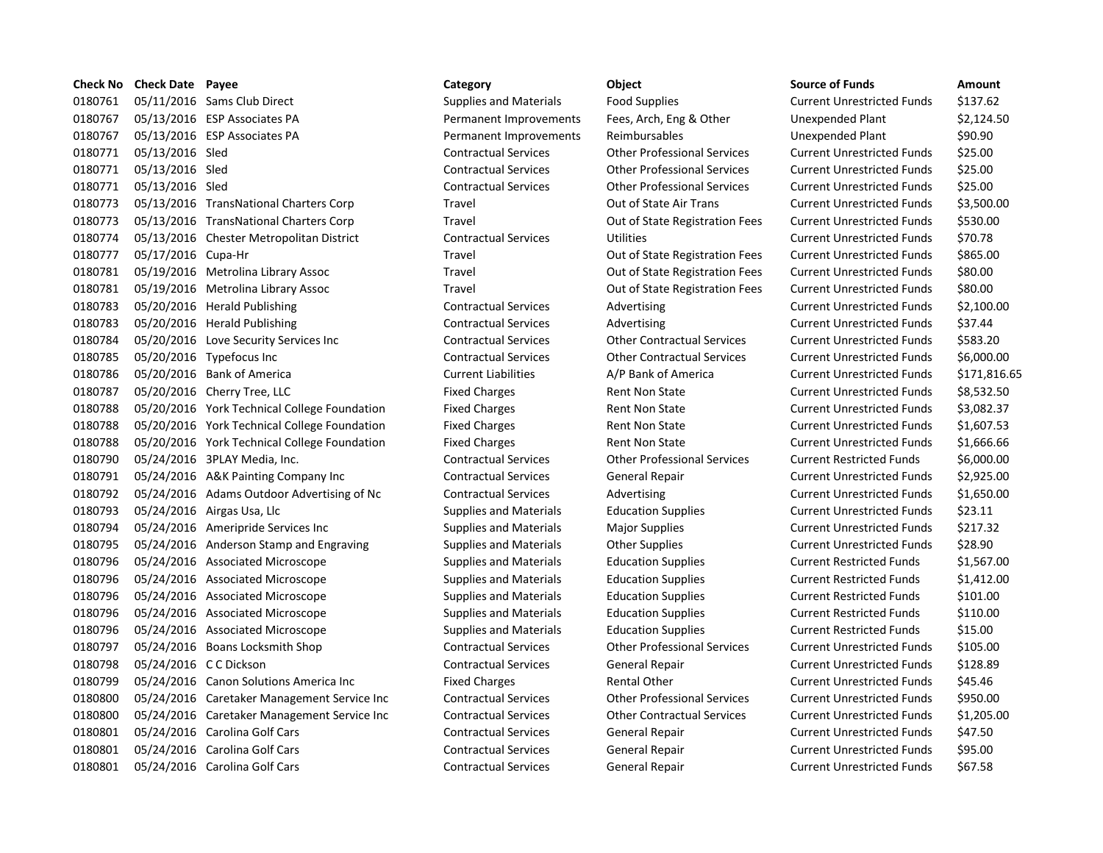| Check No | <b>Check Date Payee</b> |                                              | Category                      | Object                             | <b>Source of Funds</b>            | Amount     |
|----------|-------------------------|----------------------------------------------|-------------------------------|------------------------------------|-----------------------------------|------------|
| 0180761  |                         | 05/11/2016 Sams Club Direct                  | <b>Supplies and Materials</b> | <b>Food Supplies</b>               | <b>Current Unrestricted Funds</b> | \$137.62   |
| 0180767  |                         | 05/13/2016 ESP Associates PA                 | Permanent Improvements        | Fees, Arch, Eng & Other            | Unexpended Plant                  | \$2,124.5  |
| 0180767  |                         | 05/13/2016 ESP Associates PA                 | Permanent Improvements        | Reimbursables                      | Unexpended Plant                  | \$90.90    |
| 0180771  | 05/13/2016 Sled         |                                              | <b>Contractual Services</b>   | <b>Other Professional Services</b> | <b>Current Unrestricted Funds</b> | \$25.00    |
| 0180771  | 05/13/2016 Sled         |                                              | <b>Contractual Services</b>   | <b>Other Professional Services</b> | <b>Current Unrestricted Funds</b> | \$25.00    |
| 0180771  | 05/13/2016 Sled         |                                              | <b>Contractual Services</b>   | <b>Other Professional Services</b> | <b>Current Unrestricted Funds</b> | \$25.00    |
| 0180773  |                         | 05/13/2016 TransNational Charters Corp       | Travel                        | Out of State Air Trans             | <b>Current Unrestricted Funds</b> | \$3,500.0  |
| 0180773  |                         | 05/13/2016 TransNational Charters Corp       | Travel                        | Out of State Registration Fees     | <b>Current Unrestricted Funds</b> | \$530.00   |
| 0180774  |                         | 05/13/2016 Chester Metropolitan District     | <b>Contractual Services</b>   | Utilities                          | <b>Current Unrestricted Funds</b> | \$70.78    |
| 0180777  | 05/17/2016 Cupa-Hr      |                                              | Travel                        | Out of State Registration Fees     | <b>Current Unrestricted Funds</b> | \$865.00   |
| 0180781  |                         | 05/19/2016 Metrolina Library Assoc           | Travel                        | Out of State Registration Fees     | <b>Current Unrestricted Funds</b> | \$80.00    |
| 0180781  |                         | 05/19/2016 Metrolina Library Assoc           | Travel                        | Out of State Registration Fees     | <b>Current Unrestricted Funds</b> | \$80.00    |
| 0180783  |                         | 05/20/2016 Herald Publishing                 | <b>Contractual Services</b>   | Advertising                        | <b>Current Unrestricted Funds</b> | \$2,100.0  |
| 0180783  |                         | 05/20/2016 Herald Publishing                 | <b>Contractual Services</b>   | Advertising                        | <b>Current Unrestricted Funds</b> | \$37.44    |
| 0180784  |                         | 05/20/2016 Love Security Services Inc        | <b>Contractual Services</b>   | <b>Other Contractual Services</b>  | <b>Current Unrestricted Funds</b> | \$583.20   |
| 0180785  |                         | 05/20/2016 Typefocus Inc                     | <b>Contractual Services</b>   | <b>Other Contractual Services</b>  | <b>Current Unrestricted Funds</b> | \$6,000.0  |
| 0180786  |                         | 05/20/2016 Bank of America                   | <b>Current Liabilities</b>    | A/P Bank of America                | <b>Current Unrestricted Funds</b> | \$171,81   |
| 0180787  |                         | 05/20/2016 Cherry Tree, LLC                  | <b>Fixed Charges</b>          | <b>Rent Non State</b>              | <b>Current Unrestricted Funds</b> | \$8,532.5  |
| 0180788  |                         | 05/20/2016 York Technical College Foundation | <b>Fixed Charges</b>          | <b>Rent Non State</b>              | <b>Current Unrestricted Funds</b> | \$3,082.3  |
| 0180788  |                         | 05/20/2016 York Technical College Foundation | <b>Fixed Charges</b>          | <b>Rent Non State</b>              | <b>Current Unrestricted Funds</b> | \$1,607.5  |
| 0180788  |                         | 05/20/2016 York Technical College Foundation | <b>Fixed Charges</b>          | <b>Rent Non State</b>              | <b>Current Unrestricted Funds</b> | \$1,666.6  |
| 0180790  |                         | 05/24/2016 3PLAY Media, Inc.                 | <b>Contractual Services</b>   | <b>Other Professional Services</b> | <b>Current Restricted Funds</b>   | \$6,000.0  |
| 0180791  |                         | 05/24/2016 A&K Painting Company Inc          | <b>Contractual Services</b>   | General Repair                     | <b>Current Unrestricted Funds</b> | \$2,925.0  |
| 0180792  |                         | 05/24/2016 Adams Outdoor Advertising of Nc   | <b>Contractual Services</b>   | Advertising                        | <b>Current Unrestricted Funds</b> | \$1,650.0  |
| 0180793  |                         | 05/24/2016 Airgas Usa, Llc                   | Supplies and Materials        | <b>Education Supplies</b>          | <b>Current Unrestricted Funds</b> | \$23.11    |
| 0180794  |                         | 05/24/2016 Ameripride Services Inc           | <b>Supplies and Materials</b> | <b>Major Supplies</b>              | <b>Current Unrestricted Funds</b> | \$217.32   |
| 0180795  |                         | 05/24/2016 Anderson Stamp and Engraving      | <b>Supplies and Materials</b> | <b>Other Supplies</b>              | <b>Current Unrestricted Funds</b> | \$28.90    |
| 0180796  |                         | 05/24/2016 Associated Microscope             | Supplies and Materials        | <b>Education Supplies</b>          | <b>Current Restricted Funds</b>   | $$1,567$ . |
| 0180796  |                         | 05/24/2016 Associated Microscope             | <b>Supplies and Materials</b> | <b>Education Supplies</b>          | <b>Current Restricted Funds</b>   | \$1,412.0  |
| 0180796  |                         | 05/24/2016 Associated Microscope             | Supplies and Materials        | <b>Education Supplies</b>          | <b>Current Restricted Funds</b>   | \$101.00   |
| 0180796  |                         | 05/24/2016 Associated Microscope             | <b>Supplies and Materials</b> | <b>Education Supplies</b>          | <b>Current Restricted Funds</b>   | \$110.00   |
| 0180796  |                         | 05/24/2016 Associated Microscope             | <b>Supplies and Materials</b> | <b>Education Supplies</b>          | <b>Current Restricted Funds</b>   | \$15.00    |
| 0180797  |                         | 05/24/2016 Boans Locksmith Shop              | <b>Contractual Services</b>   | <b>Other Professional Services</b> | <b>Current Unrestricted Funds</b> | \$105.00   |
| 0180798  | 05/24/2016 C C Dickson  |                                              | <b>Contractual Services</b>   | General Repair                     | <b>Current Unrestricted Funds</b> | \$128.89   |
| 0180799  |                         | 05/24/2016 Canon Solutions America Inc       | <b>Fixed Charges</b>          | <b>Rental Other</b>                | <b>Current Unrestricted Funds</b> | \$45.46    |
| 0180800  |                         | 05/24/2016 Caretaker Management Service Inc  | <b>Contractual Services</b>   | <b>Other Professional Services</b> | <b>Current Unrestricted Funds</b> | \$950.00   |
| 0180800  |                         | 05/24/2016 Caretaker Management Service Inc  | <b>Contractual Services</b>   | <b>Other Contractual Services</b>  | <b>Current Unrestricted Funds</b> | \$1,205.0  |
| 0180801  |                         | 05/24/2016 Carolina Golf Cars                | <b>Contractual Services</b>   | General Repair                     | <b>Current Unrestricted Funds</b> | \$47.50    |
| 0180801  |                         | 05/24/2016 Carolina Golf Cars                | <b>Contractual Services</b>   | General Repair                     | <b>Current Unrestricted Funds</b> | \$95.00    |
| 0180801  |                         | 05/24/2016 Carolina Golf Cars                | <b>Contractual Services</b>   | General Repair                     | <b>Current Unrestricted Funds</b> | \$67.58    |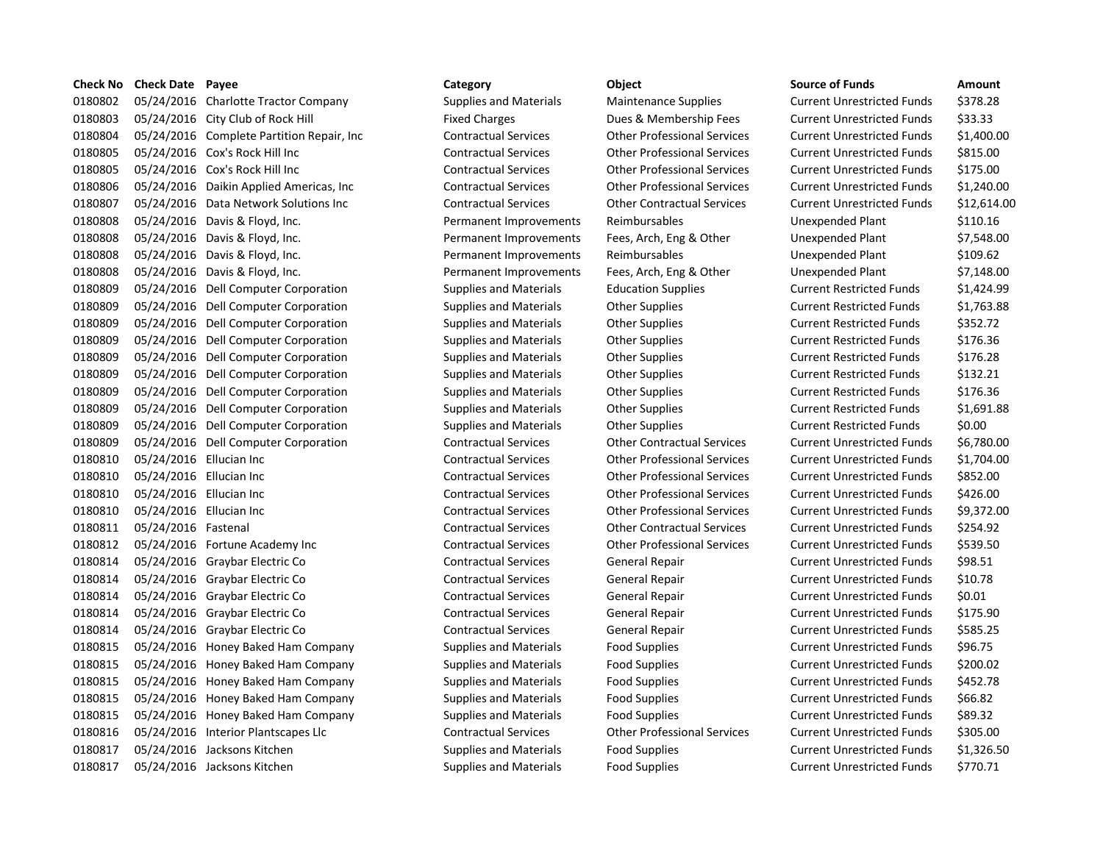| Check No | <b>Check Date Payee</b> |                                            | Category                      | Object                             | <b>Source of Funds</b>            | Amount    |
|----------|-------------------------|--------------------------------------------|-------------------------------|------------------------------------|-----------------------------------|-----------|
| 0180802  |                         | 05/24/2016 Charlotte Tractor Company       | Supplies and Materials        | Maintenance Supplies               | <b>Current Unrestricted Funds</b> | \$378.28  |
| 0180803  |                         | 05/24/2016 City Club of Rock Hill          | <b>Fixed Charges</b>          | Dues & Membership Fees             | <b>Current Unrestricted Funds</b> | \$33.33   |
| 0180804  |                         | 05/24/2016 Complete Partition Repair, Inc. | <b>Contractual Services</b>   | <b>Other Professional Services</b> | <b>Current Unrestricted Funds</b> | \$1,400.0 |
| 0180805  |                         | 05/24/2016 Cox's Rock Hill Inc             | <b>Contractual Services</b>   | <b>Other Professional Services</b> | <b>Current Unrestricted Funds</b> | \$815.00  |
| 0180805  |                         | 05/24/2016 Cox's Rock Hill Inc             | <b>Contractual Services</b>   | <b>Other Professional Services</b> | <b>Current Unrestricted Funds</b> | \$175.00  |
| 0180806  |                         | 05/24/2016 Daikin Applied Americas, Inc    | <b>Contractual Services</b>   | <b>Other Professional Services</b> | <b>Current Unrestricted Funds</b> | \$1,240.0 |
| 0180807  |                         | 05/24/2016 Data Network Solutions Inc      | <b>Contractual Services</b>   | <b>Other Contractual Services</b>  | <b>Current Unrestricted Funds</b> | \$12,614  |
| 0180808  |                         | 05/24/2016 Davis & Floyd, Inc.             | Permanent Improvements        | Reimbursables                      | Unexpended Plant                  | \$110.16  |
| 0180808  |                         | 05/24/2016 Davis & Floyd, Inc.             | Permanent Improvements        | Fees, Arch, Eng & Other            | Unexpended Plant                  | \$7,548.0 |
| 0180808  |                         | 05/24/2016 Davis & Floyd, Inc.             | Permanent Improvements        | Reimbursables                      | Unexpended Plant                  | \$109.62  |
| 0180808  |                         | 05/24/2016 Davis & Floyd, Inc.             | Permanent Improvements        | Fees, Arch, Eng & Other            | Unexpended Plant                  | \$7,148.0 |
| 0180809  |                         | 05/24/2016 Dell Computer Corporation       | <b>Supplies and Materials</b> | <b>Education Supplies</b>          | <b>Current Restricted Funds</b>   | \$1,424.9 |
| 0180809  |                         | 05/24/2016 Dell Computer Corporation       | Supplies and Materials        | <b>Other Supplies</b>              | <b>Current Restricted Funds</b>   | \$1,763.8 |
| 0180809  |                         | 05/24/2016 Dell Computer Corporation       | Supplies and Materials        | <b>Other Supplies</b>              | <b>Current Restricted Funds</b>   | \$352.72  |
| 0180809  |                         | 05/24/2016 Dell Computer Corporation       | Supplies and Materials        | <b>Other Supplies</b>              | <b>Current Restricted Funds</b>   | \$176.36  |
| 0180809  |                         | 05/24/2016 Dell Computer Corporation       | Supplies and Materials        | <b>Other Supplies</b>              | <b>Current Restricted Funds</b>   | \$176.28  |
| 0180809  |                         | 05/24/2016 Dell Computer Corporation       | Supplies and Materials        | <b>Other Supplies</b>              | <b>Current Restricted Funds</b>   | \$132.21  |
| 0180809  |                         | 05/24/2016 Dell Computer Corporation       | Supplies and Materials        | <b>Other Supplies</b>              | <b>Current Restricted Funds</b>   | \$176.36  |
| 0180809  |                         | 05/24/2016 Dell Computer Corporation       | Supplies and Materials        | <b>Other Supplies</b>              | <b>Current Restricted Funds</b>   | \$1,691.8 |
| 0180809  |                         | 05/24/2016 Dell Computer Corporation       | Supplies and Materials        | <b>Other Supplies</b>              | <b>Current Restricted Funds</b>   | \$0.00    |
| 0180809  |                         | 05/24/2016 Dell Computer Corporation       | <b>Contractual Services</b>   | <b>Other Contractual Services</b>  | <b>Current Unrestricted Funds</b> | \$6,780.0 |
| 0180810  | 05/24/2016 Ellucian Inc |                                            | <b>Contractual Services</b>   | <b>Other Professional Services</b> | <b>Current Unrestricted Funds</b> | \$1,704.0 |
| 0180810  | 05/24/2016 Ellucian Inc |                                            | <b>Contractual Services</b>   | <b>Other Professional Services</b> | <b>Current Unrestricted Funds</b> | \$852.00  |
| 0180810  | 05/24/2016 Ellucian Inc |                                            | <b>Contractual Services</b>   | <b>Other Professional Services</b> | <b>Current Unrestricted Funds</b> | \$426.00  |
| 0180810  | 05/24/2016 Ellucian Inc |                                            | <b>Contractual Services</b>   | <b>Other Professional Services</b> | <b>Current Unrestricted Funds</b> | \$9,372.0 |
| 0180811  | 05/24/2016 Fastenal     |                                            | <b>Contractual Services</b>   | <b>Other Contractual Services</b>  | <b>Current Unrestricted Funds</b> | \$254.92  |
| 0180812  |                         | 05/24/2016 Fortune Academy Inc             | <b>Contractual Services</b>   | <b>Other Professional Services</b> | <b>Current Unrestricted Funds</b> | \$539.50  |
| 0180814  |                         | 05/24/2016 Graybar Electric Co             | <b>Contractual Services</b>   | General Repair                     | <b>Current Unrestricted Funds</b> | \$98.51   |
| 0180814  |                         | 05/24/2016 Graybar Electric Co             | <b>Contractual Services</b>   | General Repair                     | <b>Current Unrestricted Funds</b> | \$10.78   |
| 0180814  |                         | 05/24/2016 Graybar Electric Co             | <b>Contractual Services</b>   | General Repair                     | <b>Current Unrestricted Funds</b> | \$0.01    |
| 0180814  |                         | 05/24/2016 Graybar Electric Co             | <b>Contractual Services</b>   | General Repair                     | <b>Current Unrestricted Funds</b> | \$175.90  |
| 0180814  |                         | 05/24/2016 Graybar Electric Co             | <b>Contractual Services</b>   | General Repair                     | <b>Current Unrestricted Funds</b> | \$585.25  |
| 0180815  |                         | 05/24/2016 Honey Baked Ham Company         | Supplies and Materials        | <b>Food Supplies</b>               | <b>Current Unrestricted Funds</b> | \$96.75   |
| 0180815  |                         | 05/24/2016 Honey Baked Ham Company         | Supplies and Materials        | Food Supplies                      | <b>Current Unrestricted Funds</b> | \$200.02  |
| 0180815  |                         | 05/24/2016 Honey Baked Ham Company         | Supplies and Materials        | <b>Food Supplies</b>               | <b>Current Unrestricted Funds</b> | \$452.78  |
| 0180815  |                         | 05/24/2016 Honey Baked Ham Company         | <b>Supplies and Materials</b> | <b>Food Supplies</b>               | <b>Current Unrestricted Funds</b> | \$66.82   |
| 0180815  |                         | 05/24/2016 Honey Baked Ham Company         | Supplies and Materials        | <b>Food Supplies</b>               | <b>Current Unrestricted Funds</b> | \$89.32   |
| 0180816  |                         | 05/24/2016 Interior Plantscapes Llc        | <b>Contractual Services</b>   | <b>Other Professional Services</b> | <b>Current Unrestricted Funds</b> | \$305.00  |
| 0180817  |                         | 05/24/2016 Jacksons Kitchen                | Supplies and Materials        | <b>Food Supplies</b>               | <b>Current Unrestricted Funds</b> | \$1,326.5 |
| 0180817  |                         | 05/24/2016 Jacksons Kitchen                | <b>Supplies and Materials</b> | <b>Food Supplies</b>               | <b>Current Unrestricted Funds</b> | \$770.71  |
|          |                         |                                            |                               |                                    |                                   |           |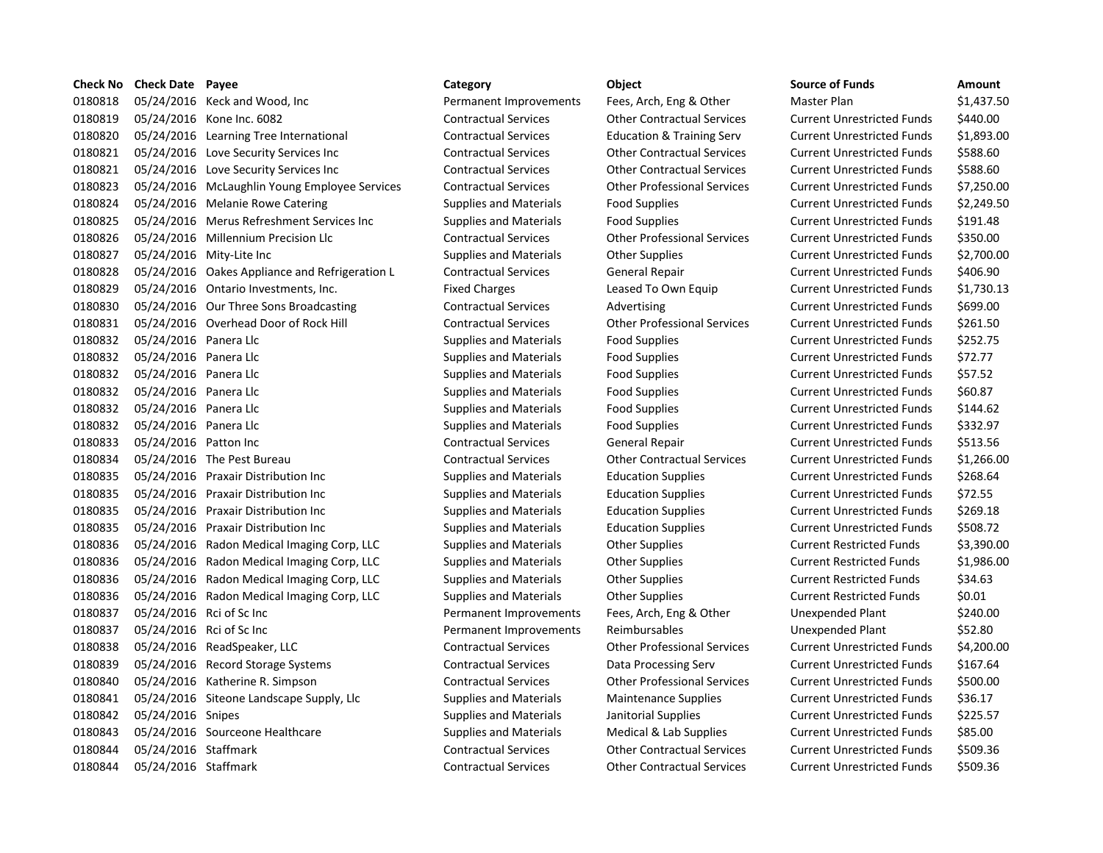| <b>Check No</b> | <b>Check Date Payee</b> |                                                | Category                      | Object                               | <b>Source of Funds</b>            | Amount    |
|-----------------|-------------------------|------------------------------------------------|-------------------------------|--------------------------------------|-----------------------------------|-----------|
| 0180818         |                         | 05/24/2016 Keck and Wood, Inc                  | Permanent Improvements        | Fees, Arch, Eng & Other              | Master Plan                       | \$1,437.5 |
| 0180819         |                         | 05/24/2016 Kone Inc. 6082                      | <b>Contractual Services</b>   | <b>Other Contractual Services</b>    | <b>Current Unrestricted Funds</b> | \$440.00  |
| 0180820         |                         | 05/24/2016 Learning Tree International         | <b>Contractual Services</b>   | <b>Education &amp; Training Serv</b> | <b>Current Unrestricted Funds</b> | \$1,893.0 |
| 0180821         |                         | 05/24/2016 Love Security Services Inc          | <b>Contractual Services</b>   | <b>Other Contractual Services</b>    | <b>Current Unrestricted Funds</b> | \$588.60  |
| 0180821         |                         | 05/24/2016 Love Security Services Inc          | <b>Contractual Services</b>   | <b>Other Contractual Services</b>    | <b>Current Unrestricted Funds</b> | \$588.60  |
| 0180823         |                         | 05/24/2016 McLaughlin Young Employee Services  | <b>Contractual Services</b>   | <b>Other Professional Services</b>   | <b>Current Unrestricted Funds</b> | \$7,250.0 |
| 0180824         |                         | 05/24/2016 Melanie Rowe Catering               | <b>Supplies and Materials</b> | <b>Food Supplies</b>                 | <b>Current Unrestricted Funds</b> | \$2,249.5 |
| 0180825         |                         | 05/24/2016 Merus Refreshment Services Inc      | Supplies and Materials        | <b>Food Supplies</b>                 | <b>Current Unrestricted Funds</b> | \$191.48  |
| 0180826         |                         | 05/24/2016 Millennium Precision Llc            | <b>Contractual Services</b>   | <b>Other Professional Services</b>   | <b>Current Unrestricted Funds</b> | \$350.00  |
| 0180827         |                         | 05/24/2016 Mity-Lite Inc                       | Supplies and Materials        | <b>Other Supplies</b>                | <b>Current Unrestricted Funds</b> | \$2,700.0 |
| 0180828         |                         | 05/24/2016 Oakes Appliance and Refrigeration L | <b>Contractual Services</b>   | General Repair                       | <b>Current Unrestricted Funds</b> | \$406.90  |
| 0180829         |                         | 05/24/2016 Ontario Investments, Inc.           | <b>Fixed Charges</b>          | Leased To Own Equip                  | <b>Current Unrestricted Funds</b> | \$1,730.1 |
| 0180830         |                         | 05/24/2016 Our Three Sons Broadcasting         | <b>Contractual Services</b>   | Advertising                          | <b>Current Unrestricted Funds</b> | \$699.00  |
| 0180831         |                         | 05/24/2016 Overhead Door of Rock Hill          | <b>Contractual Services</b>   | <b>Other Professional Services</b>   | <b>Current Unrestricted Funds</b> | \$261.50  |
| 0180832         | 05/24/2016 Panera Llc   |                                                | <b>Supplies and Materials</b> | <b>Food Supplies</b>                 | <b>Current Unrestricted Funds</b> | \$252.75  |
| 0180832         | 05/24/2016 Panera Llc   |                                                | Supplies and Materials        | <b>Food Supplies</b>                 | <b>Current Unrestricted Funds</b> | \$72.77   |
| 0180832         | 05/24/2016 Panera Llc   |                                                | <b>Supplies and Materials</b> | <b>Food Supplies</b>                 | <b>Current Unrestricted Funds</b> | \$57.52   |
| 0180832         | 05/24/2016 Panera Llc   |                                                | <b>Supplies and Materials</b> | <b>Food Supplies</b>                 | <b>Current Unrestricted Funds</b> | \$60.87   |
| 0180832         | 05/24/2016 Panera Llc   |                                                | Supplies and Materials        | <b>Food Supplies</b>                 | <b>Current Unrestricted Funds</b> | \$144.62  |
| 0180832         | 05/24/2016 Panera Llc   |                                                | Supplies and Materials        | <b>Food Supplies</b>                 | <b>Current Unrestricted Funds</b> | \$332.97  |
| 0180833         | 05/24/2016 Patton Inc   |                                                | <b>Contractual Services</b>   | General Repair                       | <b>Current Unrestricted Funds</b> | \$513.56  |
| 0180834         |                         | 05/24/2016 The Pest Bureau                     | <b>Contractual Services</b>   | <b>Other Contractual Services</b>    | <b>Current Unrestricted Funds</b> | \$1,266   |
| 0180835         |                         | 05/24/2016 Praxair Distribution Inc            | <b>Supplies and Materials</b> | <b>Education Supplies</b>            | <b>Current Unrestricted Funds</b> | \$268.64  |
| 0180835         |                         | 05/24/2016 Praxair Distribution Inc            | Supplies and Materials        | <b>Education Supplies</b>            | <b>Current Unrestricted Funds</b> | \$72.55   |
| 0180835         |                         | 05/24/2016 Praxair Distribution Inc            | Supplies and Materials        | <b>Education Supplies</b>            | <b>Current Unrestricted Funds</b> | \$269.18  |
| 0180835         |                         | 05/24/2016 Praxair Distribution Inc            | <b>Supplies and Materials</b> | <b>Education Supplies</b>            | <b>Current Unrestricted Funds</b> | \$508.72  |
| 0180836         |                         | 05/24/2016 Radon Medical Imaging Corp, LLC     | Supplies and Materials        | <b>Other Supplies</b>                | <b>Current Restricted Funds</b>   | \$3,390.0 |
| 0180836         |                         | 05/24/2016 Radon Medical Imaging Corp, LLC     | <b>Supplies and Materials</b> | <b>Other Supplies</b>                | <b>Current Restricted Funds</b>   | \$1,986.0 |
| 0180836         |                         | 05/24/2016 Radon Medical Imaging Corp, LLC     | <b>Supplies and Materials</b> | <b>Other Supplies</b>                | <b>Current Restricted Funds</b>   | \$34.63   |
| 0180836         |                         | 05/24/2016 Radon Medical Imaging Corp, LLC     | Supplies and Materials        | <b>Other Supplies</b>                | <b>Current Restricted Funds</b>   | \$0.01    |
| 0180837         |                         | 05/24/2016 Rci of Sc Inc                       | Permanent Improvements        | Fees, Arch, Eng & Other              | Unexpended Plant                  | \$240.00  |
| 0180837         |                         | 05/24/2016 Rci of Sc Inc                       | Permanent Improvements        | Reimbursables                        | Unexpended Plant                  | \$52.80   |
| 0180838         |                         | 05/24/2016 ReadSpeaker, LLC                    | <b>Contractual Services</b>   | <b>Other Professional Services</b>   | <b>Current Unrestricted Funds</b> | \$4,200.0 |
| 0180839         |                         | 05/24/2016 Record Storage Systems              | <b>Contractual Services</b>   | Data Processing Serv                 | <b>Current Unrestricted Funds</b> | \$167.64  |
| 0180840         |                         | 05/24/2016 Katherine R. Simpson                | <b>Contractual Services</b>   | <b>Other Professional Services</b>   | <b>Current Unrestricted Funds</b> | \$500.00  |
| 0180841         |                         | 05/24/2016 Siteone Landscape Supply, Llc       | Supplies and Materials        | <b>Maintenance Supplies</b>          | <b>Current Unrestricted Funds</b> | \$36.17   |
| 0180842         | 05/24/2016 Snipes       |                                                | <b>Supplies and Materials</b> | Janitorial Supplies                  | <b>Current Unrestricted Funds</b> | \$225.57  |
| 0180843         |                         | 05/24/2016 Sourceone Healthcare                | Supplies and Materials        | Medical & Lab Supplies               | <b>Current Unrestricted Funds</b> | \$85.00   |
| 0180844         | 05/24/2016 Staffmark    |                                                | <b>Contractual Services</b>   | <b>Other Contractual Services</b>    | <b>Current Unrestricted Funds</b> | \$509.36  |
| 0180844         | 05/24/2016 Staffmark    |                                                | <b>Contractual Services</b>   | <b>Other Contractual Services</b>    | <b>Current Unrestricted Funds</b> | \$509.36  |
|                 |                         |                                                |                               |                                      |                                   |           |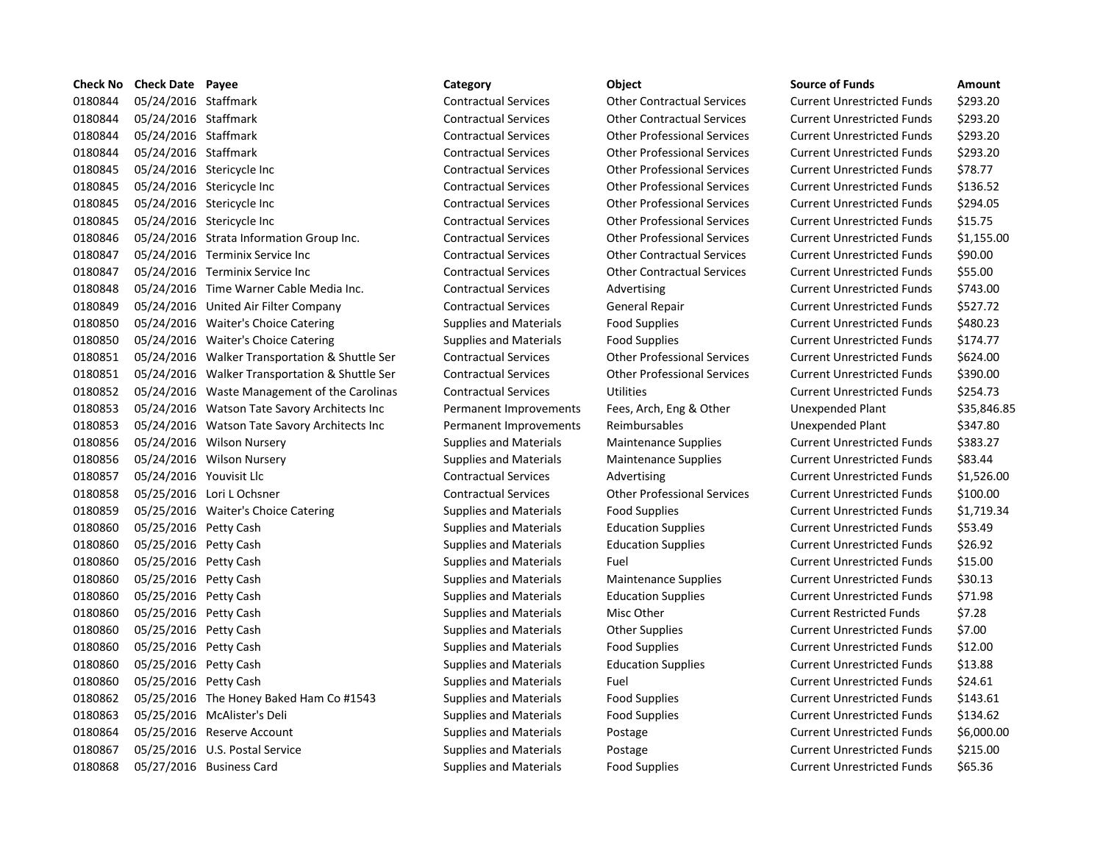|         | Check No Check Date Payee |                                                | Category                      | Object                             | <b>Source of Funds</b>            | Amount    |
|---------|---------------------------|------------------------------------------------|-------------------------------|------------------------------------|-----------------------------------|-----------|
| 0180844 | 05/24/2016 Staffmark      |                                                | <b>Contractual Services</b>   | <b>Other Contractual Services</b>  | <b>Current Unrestricted Funds</b> | \$293.20  |
| 0180844 | 05/24/2016 Staffmark      |                                                | <b>Contractual Services</b>   | <b>Other Contractual Services</b>  | <b>Current Unrestricted Funds</b> | \$293.20  |
| 0180844 | 05/24/2016 Staffmark      |                                                | <b>Contractual Services</b>   | <b>Other Professional Services</b> | <b>Current Unrestricted Funds</b> | \$293.20  |
| 0180844 | 05/24/2016 Staffmark      |                                                | <b>Contractual Services</b>   | <b>Other Professional Services</b> | <b>Current Unrestricted Funds</b> | \$293.20  |
| 0180845 |                           | 05/24/2016 Stericycle Inc                      | <b>Contractual Services</b>   | <b>Other Professional Services</b> | <b>Current Unrestricted Funds</b> | \$78.77   |
| 0180845 |                           | 05/24/2016 Stericycle Inc                      | <b>Contractual Services</b>   | <b>Other Professional Services</b> | <b>Current Unrestricted Funds</b> | \$136.52  |
| 0180845 |                           | 05/24/2016 Stericycle Inc                      | <b>Contractual Services</b>   | <b>Other Professional Services</b> | <b>Current Unrestricted Funds</b> | \$294.05  |
| 0180845 |                           | 05/24/2016 Stericycle Inc                      | <b>Contractual Services</b>   | <b>Other Professional Services</b> | <b>Current Unrestricted Funds</b> | \$15.75   |
| 0180846 |                           | 05/24/2016 Strata Information Group Inc.       | <b>Contractual Services</b>   | <b>Other Professional Services</b> | <b>Current Unrestricted Funds</b> | \$1,155.0 |
| 0180847 |                           | 05/24/2016 Terminix Service Inc                | <b>Contractual Services</b>   | <b>Other Contractual Services</b>  | <b>Current Unrestricted Funds</b> | \$90.00   |
| 0180847 |                           | 05/24/2016 Terminix Service Inc                | <b>Contractual Services</b>   | <b>Other Contractual Services</b>  | <b>Current Unrestricted Funds</b> | \$55.00   |
| 0180848 |                           | 05/24/2016 Time Warner Cable Media Inc.        | <b>Contractual Services</b>   | Advertising                        | <b>Current Unrestricted Funds</b> | \$743.00  |
| 0180849 |                           | 05/24/2016 United Air Filter Company           | <b>Contractual Services</b>   | General Repair                     | <b>Current Unrestricted Funds</b> | \$527.72  |
| 0180850 |                           | 05/24/2016 Waiter's Choice Catering            | Supplies and Materials        | <b>Food Supplies</b>               | <b>Current Unrestricted Funds</b> | \$480.23  |
| 0180850 |                           | 05/24/2016 Waiter's Choice Catering            | Supplies and Materials        | <b>Food Supplies</b>               | <b>Current Unrestricted Funds</b> | \$174.77  |
| 0180851 |                           | 05/24/2016 Walker Transportation & Shuttle Ser | <b>Contractual Services</b>   | <b>Other Professional Services</b> | <b>Current Unrestricted Funds</b> | \$624.00  |
| 0180851 |                           | 05/24/2016 Walker Transportation & Shuttle Ser | <b>Contractual Services</b>   | <b>Other Professional Services</b> | <b>Current Unrestricted Funds</b> | \$390.00  |
| 0180852 |                           | 05/24/2016 Waste Management of the Carolinas   | <b>Contractual Services</b>   | <b>Utilities</b>                   | <b>Current Unrestricted Funds</b> | \$254.73  |
| 0180853 |                           | 05/24/2016 Watson Tate Savory Architects Inc   | Permanent Improvements        | Fees, Arch, Eng & Other            | Unexpended Plant                  | \$35,846  |
| 0180853 |                           | 05/24/2016 Watson Tate Savory Architects Inc   | Permanent Improvements        | Reimbursables                      | Unexpended Plant                  | \$347.80  |
| 0180856 |                           | 05/24/2016 Wilson Nursery                      | <b>Supplies and Materials</b> | Maintenance Supplies               | <b>Current Unrestricted Funds</b> | \$383.27  |
| 0180856 |                           | 05/24/2016 Wilson Nursery                      | Supplies and Materials        | Maintenance Supplies               | <b>Current Unrestricted Funds</b> | \$83.44   |
| 0180857 | 05/24/2016 Youvisit Llc   |                                                | <b>Contractual Services</b>   | Advertising                        | <b>Current Unrestricted Funds</b> | \$1,526.0 |
| 0180858 |                           | 05/25/2016 Lori L Ochsner                      | <b>Contractual Services</b>   | <b>Other Professional Services</b> | <b>Current Unrestricted Funds</b> | \$100.00  |
| 0180859 |                           | 05/25/2016 Waiter's Choice Catering            | Supplies and Materials        | <b>Food Supplies</b>               | <b>Current Unrestricted Funds</b> | \$1,719.3 |
| 0180860 | 05/25/2016 Petty Cash     |                                                | <b>Supplies and Materials</b> | <b>Education Supplies</b>          | <b>Current Unrestricted Funds</b> | \$53.49   |
| 0180860 | 05/25/2016 Petty Cash     |                                                | Supplies and Materials        | <b>Education Supplies</b>          | <b>Current Unrestricted Funds</b> | \$26.92   |
| 0180860 | 05/25/2016 Petty Cash     |                                                | Supplies and Materials        | Fuel                               | <b>Current Unrestricted Funds</b> | \$15.00   |
| 0180860 | 05/25/2016 Petty Cash     |                                                | <b>Supplies and Materials</b> | <b>Maintenance Supplies</b>        | <b>Current Unrestricted Funds</b> | \$30.13   |
| 0180860 | 05/25/2016 Petty Cash     |                                                | Supplies and Materials        | <b>Education Supplies</b>          | <b>Current Unrestricted Funds</b> | \$71.98   |
| 0180860 | 05/25/2016 Petty Cash     |                                                | Supplies and Materials        | Misc Other                         | <b>Current Restricted Funds</b>   | \$7.28    |
| 0180860 | 05/25/2016 Petty Cash     |                                                | <b>Supplies and Materials</b> | <b>Other Supplies</b>              | <b>Current Unrestricted Funds</b> | \$7.00    |
| 0180860 | 05/25/2016 Petty Cash     |                                                | <b>Supplies and Materials</b> | <b>Food Supplies</b>               | <b>Current Unrestricted Funds</b> | \$12.00   |
| 0180860 | 05/25/2016 Petty Cash     |                                                | <b>Supplies and Materials</b> | <b>Education Supplies</b>          | <b>Current Unrestricted Funds</b> | \$13.88   |
| 0180860 | 05/25/2016 Petty Cash     |                                                | <b>Supplies and Materials</b> | Fuel                               | <b>Current Unrestricted Funds</b> | \$24.61   |
| 0180862 |                           | 05/25/2016 The Honey Baked Ham Co #1543        | Supplies and Materials        | <b>Food Supplies</b>               | <b>Current Unrestricted Funds</b> | \$143.61  |
| 0180863 |                           | 05/25/2016 McAlister's Deli                    | Supplies and Materials        | <b>Food Supplies</b>               | <b>Current Unrestricted Funds</b> | \$134.62  |
| 0180864 |                           | 05/25/2016 Reserve Account                     | Supplies and Materials        | Postage                            | <b>Current Unrestricted Funds</b> | \$6,000.0 |
| 0180867 |                           | 05/25/2016 U.S. Postal Service                 | <b>Supplies and Materials</b> | Postage                            | <b>Current Unrestricted Funds</b> | \$215.00  |
| 0180868 |                           | 05/27/2016 Business Card                       | <b>Supplies and Materials</b> | <b>Food Supplies</b>               | <b>Current Unrestricted Funds</b> | \$65.36   |

### 05/24/2016 Staffmark Contractual Services Other Contractual Services Current Unrestricted Funds \$293.20 05/24/2016 Staffmark Contractual Services Other Professional Services Current Unrestricted Funds \$293.20 05/24/2016 Staffmark Contractual Services Other Professional Services Current Unrestricted Funds \$293.20 05/24/2016 Stericycle Inc Contractual Services Other Professional Services Current Unrestricted Funds \$78.77 05/24/2016 Stericycle Inc Contractual Services Other Professional Services Current Unrestricted Funds \$136.52 05/24/2016 Stericycle Inc Contractual Services Other Professional Services Current Unrestricted Funds \$294.05 05/24/2016 Stericycle Inc Contractual Services Other Professional Services Current Unrestricted Funds \$15.75 05/24/2016 Strata Information Group Inc. Contractual Services Other Professional Services Current Unrestricted Funds \$1,155.00 Contractual Services **Other Contractual Services** Current Unrestricted Funds \$90.00 Contractual Services **Other Contractual Services** Current Unrestricted Funds \$55.00 Ontractual Services Advertising Current Unrestricted Funds \$743.00 05/24/2016 United Air Filter Company Contractual Services General Repair Current Unrestricted Funds \$527.72 05/24/2016 Waiter's Choice Catering Supplies and Materials Food Supplies Current Unrestricted Funds \$480.23 05/24/2016 Waiter's Choice Catering Supplies and Materials Food Supplies Current Unrestricted Funds \$174.77 05/24/2016 Walker Transportation & Shuttle Ser Contractual Services Other Professional Services Current Unrestricted Funds \$624.00 05/24/2016 Walker Transportation & Shuttle Ser Contractual Services Other Professional Services Current Unrestricted Funds \$390.00 olinas Contractual Services Utilities Current Unrestricted Funds 5254.73 Inc Permanent Improvements Fees, Arch, Eng & Other Unexpended Plant \$35,846.85 Inc Permanent Improvements Reimbursables **Inc Permanent Improvements** Reimbursables Unexpended Plant \$347.80 05/24/2016 Wilson Nursery Supplies and Materials Maintenance Supplies Current Unrestricted Funds \$383.27 05/24/2016 Wilson Nursery Supplies and Materials Maintenance Supplies Current Unrestricted Funds \$83.44 05/24/2016 Youvisit Llc Contractual Services Advertising Current Unrestricted Funds \$1,526.00 05/25/2016 Lori L Ochsner Contractual Services Other Professional Services Current Unrestricted Funds \$100.00 05/25/2016 Waiter's Choice Catering Supplies and Materials Food Supplies Current Unrestricted Funds \$1,719.34 05/25/2016 Petty Cash Supplies and Materials Education Supplies Current Unrestricted Funds \$53.49 Supplies and Materials **Education Supplies Current Unrestricted Funds** \$26.92 Supplies and Materials Fuel Fuel **Current Unrestricted Funds** \$15.00 05/25/2016 Petty Cash Supplies and Materials Maintenance Supplies Current Unrestricted Funds \$30.13 Supplies and Materials **Exercise Education Supplies** Current Unrestricted Funds \$71.98 Supplies and Materials Misc Other Current Restricted Funds \$7.28 05/25/2016 Petty Cash Supplies and Materials Other Supplies Current Unrestricted Funds \$7.00 05/25/2016 Petty Cash Supplies and Materials Food Supplies Current Unrestricted Funds \$12.00 05/25/2016 Petty Cash Supplies and Materials Education Supplies Current Unrestricted Funds \$13.88 05/25/2016 Petty Cash Supplies and Materials Fuel Current Unrestricted Funds \$24.61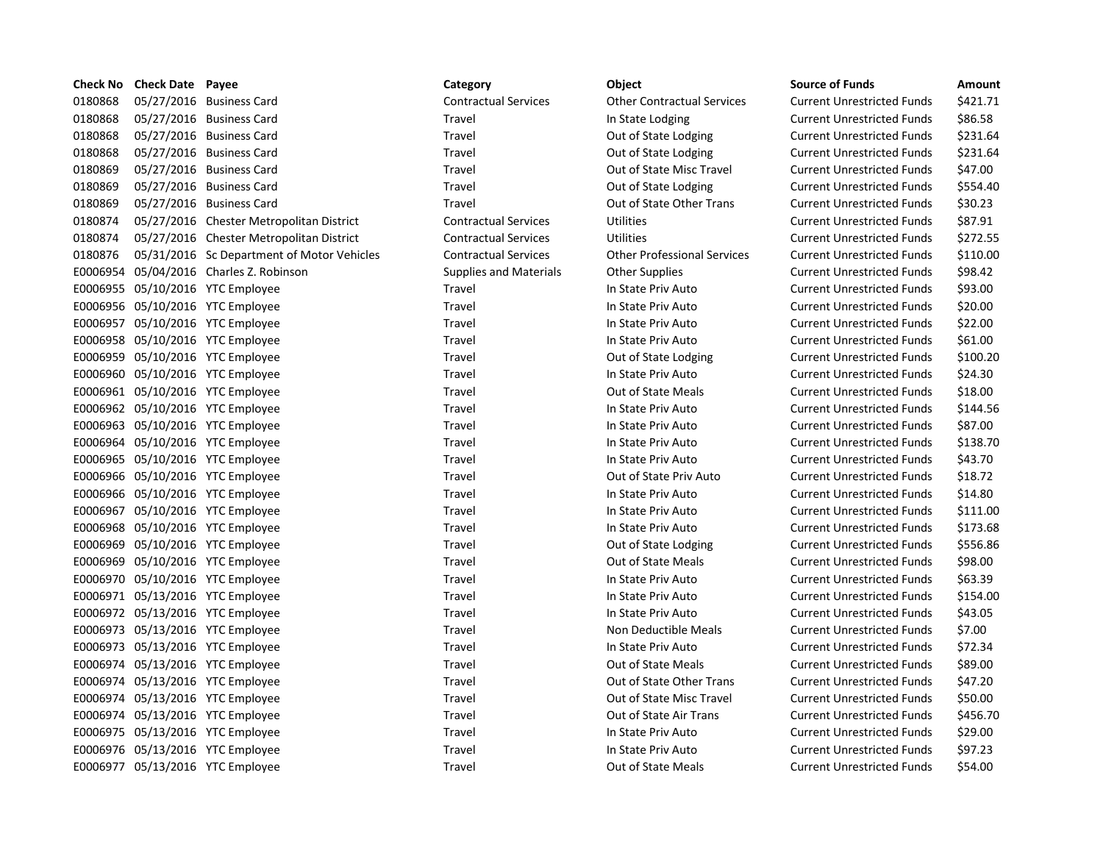|         | Check No Check Date | Payee                                      | Category                      | Object                             | <b>Source of Funds</b>            | Amount   |
|---------|---------------------|--------------------------------------------|-------------------------------|------------------------------------|-----------------------------------|----------|
| 0180868 |                     | 05/27/2016 Business Card                   | <b>Contractual Services</b>   | <b>Other Contractual Services</b>  | <b>Current Unrestricted Funds</b> | \$421.71 |
| 0180868 |                     | 05/27/2016 Business Card                   | Travel                        | In State Lodging                   | <b>Current Unrestricted Funds</b> | \$86.58  |
| 0180868 |                     | 05/27/2016 Business Card                   | Travel                        | Out of State Lodging               | <b>Current Unrestricted Funds</b> | \$231.64 |
| 0180868 |                     | 05/27/2016 Business Card                   | Travel                        | Out of State Lodging               | <b>Current Unrestricted Funds</b> | \$231.64 |
| 0180869 |                     | 05/27/2016 Business Card                   | Travel                        | Out of State Misc Travel           | <b>Current Unrestricted Funds</b> | \$47.00  |
| 0180869 |                     | 05/27/2016 Business Card                   | Travel                        | Out of State Lodging               | <b>Current Unrestricted Funds</b> | \$554.40 |
| 0180869 |                     | 05/27/2016 Business Card                   | Travel                        | Out of State Other Trans           | <b>Current Unrestricted Funds</b> | \$30.23  |
| 0180874 |                     | 05/27/2016 Chester Metropolitan District   | <b>Contractual Services</b>   | <b>Utilities</b>                   | <b>Current Unrestricted Funds</b> | \$87.91  |
| 0180874 |                     | 05/27/2016 Chester Metropolitan District   | <b>Contractual Services</b>   | <b>Utilities</b>                   | <b>Current Unrestricted Funds</b> | \$272.55 |
| 0180876 |                     | 05/31/2016 Sc Department of Motor Vehicles | <b>Contractual Services</b>   | <b>Other Professional Services</b> | <b>Current Unrestricted Funds</b> | \$110.00 |
|         |                     | E0006954 05/04/2016 Charles Z. Robinson    | <b>Supplies and Materials</b> | <b>Other Supplies</b>              | <b>Current Unrestricted Funds</b> | \$98.42  |
|         |                     | E0006955 05/10/2016 YTC Employee           | Travel                        | In State Priv Auto                 | <b>Current Unrestricted Funds</b> | \$93.00  |
|         |                     | E0006956 05/10/2016 YTC Employee           | Travel                        | In State Priv Auto                 | <b>Current Unrestricted Funds</b> | \$20.00  |
|         |                     | E0006957 05/10/2016 YTC Employee           | Travel                        | In State Priv Auto                 | <b>Current Unrestricted Funds</b> | \$22.00  |
|         |                     | E0006958 05/10/2016 YTC Employee           | Travel                        | In State Priv Auto                 | <b>Current Unrestricted Funds</b> | \$61.00  |
|         |                     | E0006959 05/10/2016 YTC Employee           | Travel                        | Out of State Lodging               | <b>Current Unrestricted Funds</b> | \$100.20 |
|         |                     | E0006960 05/10/2016 YTC Employee           | Travel                        | In State Priv Auto                 | <b>Current Unrestricted Funds</b> | \$24.30  |
|         |                     | E0006961 05/10/2016 YTC Employee           | Travel                        | Out of State Meals                 | <b>Current Unrestricted Funds</b> | \$18.00  |
|         |                     | E0006962 05/10/2016 YTC Employee           | Travel                        | In State Priv Auto                 | <b>Current Unrestricted Funds</b> | \$144.56 |
|         |                     | E0006963 05/10/2016 YTC Employee           | Travel                        | In State Priv Auto                 | <b>Current Unrestricted Funds</b> | \$87.00  |
|         |                     | E0006964 05/10/2016 YTC Employee           | Travel                        | In State Priv Auto                 | <b>Current Unrestricted Funds</b> | \$138.70 |
|         |                     | E0006965 05/10/2016 YTC Employee           | Travel                        | In State Priv Auto                 | <b>Current Unrestricted Funds</b> | \$43.70  |
|         |                     | E0006966 05/10/2016 YTC Employee           | Travel                        | Out of State Priv Auto             | <b>Current Unrestricted Funds</b> | \$18.72  |
|         |                     | E0006966 05/10/2016 YTC Employee           | Travel                        | In State Priv Auto                 | <b>Current Unrestricted Funds</b> | \$14.80  |
|         |                     | E0006967 05/10/2016 YTC Employee           | Travel                        | In State Priv Auto                 | <b>Current Unrestricted Funds</b> | \$111.00 |
|         |                     | E0006968 05/10/2016 YTC Employee           | Travel                        | In State Priv Auto                 | <b>Current Unrestricted Funds</b> | \$173.68 |
|         |                     | E0006969 05/10/2016 YTC Employee           | Travel                        | Out of State Lodging               | <b>Current Unrestricted Funds</b> | \$556.86 |
|         |                     | E0006969 05/10/2016 YTC Employee           | Travel                        | Out of State Meals                 | <b>Current Unrestricted Funds</b> | \$98.00  |
|         |                     | E0006970 05/10/2016 YTC Employee           | Travel                        | In State Priv Auto                 | <b>Current Unrestricted Funds</b> | \$63.39  |
|         |                     | E0006971 05/13/2016 YTC Employee           | Travel                        | In State Priv Auto                 | <b>Current Unrestricted Funds</b> | \$154.00 |
|         |                     | E0006972 05/13/2016 YTC Employee           | Travel                        | In State Priv Auto                 | <b>Current Unrestricted Funds</b> | \$43.05  |
|         |                     | E0006973 05/13/2016 YTC Employee           | Travel                        | Non Deductible Meals               | <b>Current Unrestricted Funds</b> | \$7.00   |
|         |                     | E0006973 05/13/2016 YTC Employee           | Travel                        | In State Priv Auto                 | <b>Current Unrestricted Funds</b> | \$72.34  |
|         |                     | E0006974 05/13/2016 YTC Employee           | Travel                        | Out of State Meals                 | <b>Current Unrestricted Funds</b> | \$89.00  |
|         |                     | E0006974 05/13/2016 YTC Employee           | Travel                        | Out of State Other Trans           | <b>Current Unrestricted Funds</b> | \$47.20  |
|         |                     | E0006974 05/13/2016 YTC Employee           | Travel                        | Out of State Misc Travel           | <b>Current Unrestricted Funds</b> | \$50.00  |
|         |                     | E0006974 05/13/2016 YTC Employee           | Travel                        | Out of State Air Trans             | <b>Current Unrestricted Funds</b> | \$456.70 |
|         |                     | E0006975 05/13/2016 YTC Employee           | Travel                        | In State Priv Auto                 | <b>Current Unrestricted Funds</b> | \$29.00  |
|         |                     | E0006976 05/13/2016 YTC Employee           | Travel                        | In State Priv Auto                 | <b>Current Unrestricted Funds</b> | \$97.23  |
|         |                     | E0006977 05/13/2016 YTC Employee           | Travel                        | Out of State Meals                 | <b>Current Unrestricted Funds</b> | \$54.00  |

| Category                    |
|-----------------------------|
| Contractual Services        |
| <b>Travel</b>               |
| <b>Travel</b>               |
| Travel                      |
| Travel                      |
| <b>Travel</b>               |
| Travel                      |
| <b>Contractual Services</b> |
| Contractual Services        |
| Contractual Services        |
| Supplies and Materials      |
| <b>Travel</b>               |
| Travel                      |
| <b>Travel</b>               |
| <b>Travel</b>               |
| Travel                      |
| Travel                      |
| Travel                      |
| Travel                      |
| <b>Travel</b>               |
| Travel                      |
| Travel                      |
| Travel                      |
| Travel                      |
| Travel                      |
| <b>Travel</b>               |
| Travel                      |
| Travel                      |
| Travel                      |
| Travel                      |
| Travel                      |
| <b>Travel</b>               |
| Travel                      |
| Travel                      |
| <b>Travel</b>               |
| Travel                      |
| Travel                      |
| Travel                      |
| Travel                      |
| Travel                      |

| bject                      |
|----------------------------|
| ther Contractual Services  |
| State Lodging              |
| ut of State Lodging        |
| ut of State Lodging        |
| ut of State Misc Travel    |
| ut of State Lodging        |
| ut of State Other Trans    |
| tilities                   |
| tilities                   |
| ther Professional Services |
| ther Supplies              |
| State Priv Auto            |
| State Priv Auto            |
| State Priv Auto            |
| State Priv Auto            |
| ut of State Lodging        |
| State Priv Auto            |
| ut of State Meals          |
| State Priv Auto            |
| State Priv Auto            |
| State Priv Auto            |
| State Priv Auto            |
| ut of State Priv Auto      |
| State Priv Auto            |
| State Priv Auto            |
| State Priv Auto            |
| ut of State Lodging        |
| ut of State Meals          |
| State Priv Auto            |
| State Priv Auto ا          |
| State Priv Auto            |
| on Deductible Meals        |
| State Priv Auto            |
| ut of State Meals          |
| ut of State Other Trans    |
| ut of State Misc Travel    |
| ut of State Air Trans      |
| State Priv Auto            |
| State Priv Auto            |
| ut of State Meals          |

|                            | Category                      | Object                             | <b>Source of Funds</b>            | Amoun    |
|----------------------------|-------------------------------|------------------------------------|-----------------------------------|----------|
| ess Card                   | <b>Contractual Services</b>   | <b>Other Contractual Services</b>  | <b>Current Unrestricted Funds</b> | \$421.71 |
| ess Card                   | Travel                        | In State Lodging                   | <b>Current Unrestricted Funds</b> | \$86.58  |
| ess Card                   | Travel                        | Out of State Lodging               | <b>Current Unrestricted Funds</b> | \$231.64 |
| ess Card                   | Travel                        | Out of State Lodging               | <b>Current Unrestricted Funds</b> | \$231.64 |
| ess Card                   | Travel                        | Out of State Misc Travel           | <b>Current Unrestricted Funds</b> | \$47.00  |
| ess Card                   | Travel                        | Out of State Lodging               | <b>Current Unrestricted Funds</b> | \$554.40 |
| ess Card                   | Travel                        | Out of State Other Trans           | <b>Current Unrestricted Funds</b> | \$30.23  |
| er Metropolitan District   | <b>Contractual Services</b>   | <b>Utilities</b>                   | <b>Current Unrestricted Funds</b> | \$87.91  |
| er Metropolitan District   | <b>Contractual Services</b>   | <b>Utilities</b>                   | <b>Current Unrestricted Funds</b> | \$272.55 |
| partment of Motor Vehicles | <b>Contractual Services</b>   | <b>Other Professional Services</b> | <b>Current Unrestricted Funds</b> | \$110.00 |
| s Z. Robinson              | <b>Supplies and Materials</b> | <b>Other Supplies</b>              | <b>Current Unrestricted Funds</b> | \$98.42  |
| nployee                    | Travel                        | In State Priv Auto                 | <b>Current Unrestricted Funds</b> | \$93.00  |
| nployee                    | Travel                        | In State Priv Auto                 | <b>Current Unrestricted Funds</b> | \$20.00  |
| nployee                    | Travel                        | In State Priv Auto                 | <b>Current Unrestricted Funds</b> | \$22.00  |
| nployee                    | Travel                        | In State Priv Auto                 | <b>Current Unrestricted Funds</b> | \$61.00  |
| nployee                    | Travel                        | Out of State Lodging               | <b>Current Unrestricted Funds</b> | \$100.20 |
| nployee                    | Travel                        | In State Priv Auto                 | <b>Current Unrestricted Funds</b> | \$24.30  |
| nployee                    | Travel                        | <b>Out of State Meals</b>          | <b>Current Unrestricted Funds</b> | \$18.00  |
| nployee                    | Travel                        | In State Priv Auto                 | <b>Current Unrestricted Funds</b> | \$144.56 |
| nployee                    | Travel                        | In State Priv Auto                 | <b>Current Unrestricted Funds</b> | \$87.00  |
| nployee                    | Travel                        | In State Priv Auto                 | <b>Current Unrestricted Funds</b> | \$138.70 |
| nployee                    | Travel                        | In State Priv Auto                 | <b>Current Unrestricted Funds</b> | \$43.70  |
| nployee                    | Travel                        | Out of State Priv Auto             | <b>Current Unrestricted Funds</b> | \$18.72  |
| nployee                    | Travel                        | In State Priv Auto                 | <b>Current Unrestricted Funds</b> | \$14.80  |
| nployee                    | Travel                        | In State Priv Auto                 | <b>Current Unrestricted Funds</b> | \$111.00 |
| nployee                    | Travel                        | In State Priv Auto                 | <b>Current Unrestricted Funds</b> | \$173.68 |
| nployee                    | Travel                        | Out of State Lodging               | <b>Current Unrestricted Funds</b> | \$556.86 |
| nployee                    | Travel                        | Out of State Meals                 | <b>Current Unrestricted Funds</b> | \$98.00  |
| nployee                    | Travel                        | In State Priv Auto                 | <b>Current Unrestricted Funds</b> | \$63.39  |
| nployee                    | Travel                        | In State Priv Auto                 | <b>Current Unrestricted Funds</b> | \$154.00 |
| nployee                    | Travel                        | In State Priv Auto                 | <b>Current Unrestricted Funds</b> | \$43.05  |
| nployee                    | Travel                        | Non Deductible Meals               | <b>Current Unrestricted Funds</b> | \$7.00   |
| nployee                    | Travel                        | In State Priv Auto                 | <b>Current Unrestricted Funds</b> | \$72.34  |
| nployee                    | Travel                        | <b>Out of State Meals</b>          | <b>Current Unrestricted Funds</b> | \$89.00  |
| nployee                    | Travel                        | Out of State Other Trans           | <b>Current Unrestricted Funds</b> | \$47.20  |
| nployee                    | Travel                        | Out of State Misc Travel           | <b>Current Unrestricted Funds</b> | \$50.00  |
| nployee                    | Travel                        | Out of State Air Trans             | <b>Current Unrestricted Funds</b> | \$456.70 |
| nployee                    | Travel                        | In State Priv Auto                 | <b>Current Unrestricted Funds</b> | \$29.00  |
| nployee                    | Travel                        | In State Priv Auto                 | <b>Current Unrestricted Funds</b> | \$97.23  |
| nployee                    | Travel                        | <b>Out of State Meals</b>          | <b>Current Unrestricted Funds</b> | \$54.00  |
|                            |                               |                                    |                                   |          |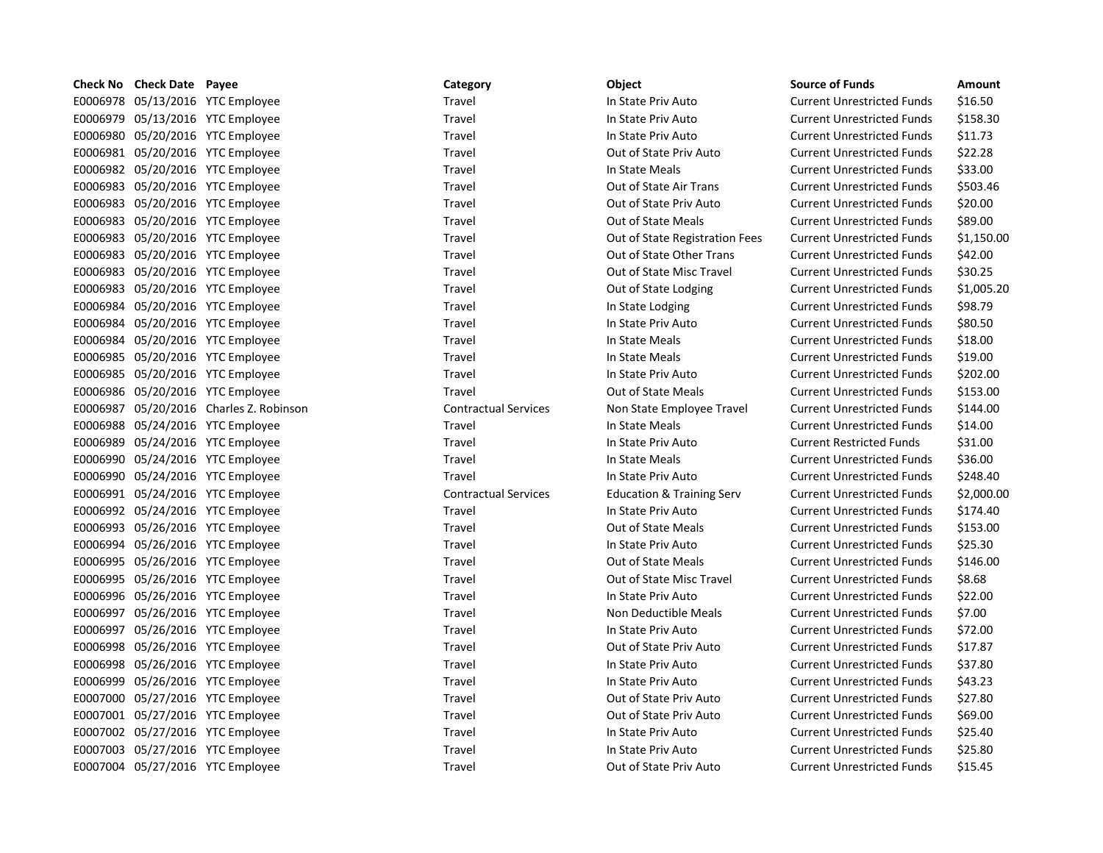| Check No | <b>Check Date Payee</b> |                                         | Category                    | <b>Object</b>                        | <b>Source of Funds</b>            | Amount     |
|----------|-------------------------|-----------------------------------------|-----------------------------|--------------------------------------|-----------------------------------|------------|
|          |                         | E0006978 05/13/2016 YTC Employee        | Travel                      | In State Priv Auto                   | <b>Current Unrestricted Funds</b> | \$16.50    |
|          |                         | E0006979 05/13/2016 YTC Employee        | Travel                      | In State Priv Auto                   | <b>Current Unrestricted Funds</b> | \$158.30   |
|          |                         | E0006980 05/20/2016 YTC Employee        | Travel                      | In State Priv Auto                   | <b>Current Unrestricted Funds</b> | \$11.73    |
|          |                         | E0006981 05/20/2016 YTC Employee        | Travel                      | Out of State Priv Auto               | <b>Current Unrestricted Funds</b> | \$22.28    |
|          |                         | E0006982 05/20/2016 YTC Employee        | Travel                      | In State Meals                       | <b>Current Unrestricted Funds</b> | \$33.00    |
|          |                         | E0006983 05/20/2016 YTC Employee        | Travel                      | Out of State Air Trans               | <b>Current Unrestricted Funds</b> | \$503.46   |
|          |                         | E0006983 05/20/2016 YTC Employee        | Travel                      | Out of State Priv Auto               | <b>Current Unrestricted Funds</b> | \$20.00    |
|          |                         | E0006983 05/20/2016 YTC Employee        | Travel                      | <b>Out of State Meals</b>            | <b>Current Unrestricted Funds</b> | \$89.00    |
|          |                         | E0006983 05/20/2016 YTC Employee        | Travel                      | Out of State Registration Fees       | <b>Current Unrestricted Funds</b> | \$1,150.00 |
|          |                         | E0006983 05/20/2016 YTC Employee        | Travel                      | Out of State Other Trans             | <b>Current Unrestricted Funds</b> | \$42.00    |
|          |                         | E0006983 05/20/2016 YTC Employee        | Travel                      | Out of State Misc Travel             | <b>Current Unrestricted Funds</b> | \$30.25    |
|          |                         | E0006983 05/20/2016 YTC Employee        | Travel                      | Out of State Lodging                 | <b>Current Unrestricted Funds</b> | \$1,005.20 |
|          |                         | E0006984 05/20/2016 YTC Employee        | Travel                      | In State Lodging                     | <b>Current Unrestricted Funds</b> | \$98.79    |
|          |                         | E0006984 05/20/2016 YTC Employee        | Travel                      | In State Priv Auto                   | <b>Current Unrestricted Funds</b> | \$80.50    |
|          |                         | E0006984 05/20/2016 YTC Employee        | Travel                      | In State Meals                       | <b>Current Unrestricted Funds</b> | \$18.00    |
|          |                         | E0006985 05/20/2016 YTC Employee        | Travel                      | In State Meals                       | <b>Current Unrestricted Funds</b> | \$19.00    |
|          |                         | E0006985 05/20/2016 YTC Employee        | Travel                      | In State Priv Auto                   | <b>Current Unrestricted Funds</b> | \$202.00   |
|          |                         | E0006986 05/20/2016 YTC Employee        | Travel                      | Out of State Meals                   | <b>Current Unrestricted Funds</b> | \$153.00   |
|          |                         | E0006987 05/20/2016 Charles Z. Robinson | <b>Contractual Services</b> | Non State Employee Travel            | <b>Current Unrestricted Funds</b> | \$144.00   |
|          |                         | E0006988 05/24/2016 YTC Employee        | Travel                      | In State Meals                       | <b>Current Unrestricted Funds</b> | \$14.00    |
|          |                         | E0006989 05/24/2016 YTC Employee        | Travel                      | In State Priv Auto                   | <b>Current Restricted Funds</b>   | \$31.00    |
|          |                         | E0006990 05/24/2016 YTC Employee        | Travel                      | In State Meals                       | <b>Current Unrestricted Funds</b> | \$36.00    |
|          |                         | E0006990 05/24/2016 YTC Employee        | Travel                      | In State Priv Auto                   | <b>Current Unrestricted Funds</b> | \$248.40   |
|          |                         | E0006991 05/24/2016 YTC Employee        | <b>Contractual Services</b> | <b>Education &amp; Training Serv</b> | <b>Current Unrestricted Funds</b> | \$2,000.00 |
|          |                         | E0006992 05/24/2016 YTC Employee        | Travel                      | In State Priv Auto                   | <b>Current Unrestricted Funds</b> | \$174.40   |
|          |                         | E0006993 05/26/2016 YTC Employee        | Travel                      | Out of State Meals                   | <b>Current Unrestricted Funds</b> | \$153.00   |
|          |                         | E0006994 05/26/2016 YTC Employee        | Travel                      | In State Priv Auto                   | <b>Current Unrestricted Funds</b> | \$25.30    |
|          |                         | E0006995 05/26/2016 YTC Employee        | Travel                      | <b>Out of State Meals</b>            | <b>Current Unrestricted Funds</b> | \$146.00   |
|          |                         | E0006995 05/26/2016 YTC Employee        | Travel                      | Out of State Misc Travel             | <b>Current Unrestricted Funds</b> | \$8.68     |
|          |                         | E0006996 05/26/2016 YTC Employee        | Travel                      | In State Priv Auto                   | <b>Current Unrestricted Funds</b> | \$22.00    |
|          |                         | E0006997 05/26/2016 YTC Employee        | Travel                      | Non Deductible Meals                 | <b>Current Unrestricted Funds</b> | \$7.00     |
|          |                         | E0006997 05/26/2016 YTC Employee        | Travel                      | In State Priv Auto                   | <b>Current Unrestricted Funds</b> | \$72.00    |
|          |                         | E0006998 05/26/2016 YTC Employee        | Travel                      | Out of State Priv Auto               | <b>Current Unrestricted Funds</b> | \$17.87    |
|          |                         | E0006998 05/26/2016 YTC Employee        | Travel                      | In State Priv Auto                   | <b>Current Unrestricted Funds</b> | \$37.80    |
|          |                         | E0006999 05/26/2016 YTC Employee        | Travel                      | In State Priv Auto                   | <b>Current Unrestricted Funds</b> | \$43.23    |
|          |                         | E0007000 05/27/2016 YTC Employee        | Travel                      | Out of State Priv Auto               | <b>Current Unrestricted Funds</b> | \$27.80    |
|          |                         | E0007001 05/27/2016 YTC Employee        | Travel                      | Out of State Priv Auto               | <b>Current Unrestricted Funds</b> | \$69.00    |
|          |                         | E0007002 05/27/2016 YTC Employee        | Travel                      | In State Priv Auto                   | <b>Current Unrestricted Funds</b> | \$25.40    |
|          |                         | E0007003 05/27/2016 YTC Employee        | Travel                      | In State Priv Auto                   | <b>Current Unrestricted Funds</b> | \$25.80    |
|          |                         | E0007004 05/27/2016 YTC Employee        | Travel                      | Out of State Priv Auto               | <b>Current Unrestricted Funds</b> | \$15.45    |
|          |                         |                                         |                             |                                      |                                   |            |

| Category                    |
|-----------------------------|
| Travel                      |
| Travel                      |
| Travel                      |
| Travel                      |
| Travel                      |
| Travel                      |
| Travel                      |
| Travel                      |
| Travel                      |
| Travel                      |
| Travel                      |
| Travel                      |
| Travel                      |
| Travel                      |
| Travel                      |
| Travel                      |
| Travel                      |
| Travel                      |
| <b>Contractual Services</b> |
| Travel                      |
| Travel                      |
| Travel                      |
| Travel                      |
| <b>Contractual Services</b> |
| Travel                      |
| Travel                      |
| Travel                      |
| Travel                      |
| Travel                      |
| Travel                      |
| Travel                      |
| Travel                      |
| Travel                      |
| Travel                      |
| Travel                      |
| Travel                      |
| Travel                      |
| Travel                      |
| Travel                      |
| T <b>ensin</b> l            |

| <b>Object</b>                    |
|----------------------------------|
| n State Priv Auto                |
| n State Priv Auto                |
| n State Priv Auto                |
| Out of State Priv Auto           |
| n State Meals                    |
| Out of State Air Trans           |
| Out of State Priv Auto           |
| Out of State Meals               |
| Out of State Registration Fee    |
| Out of State Other Trans         |
| Out of State Misc Travel         |
| Out of State Lodging             |
| n State Lodging                  |
| n State Priv Auto                |
| n State Meals                    |
| n State Meals                    |
| n State Priv Auto                |
| Out of State Meals               |
| <b>Non State Employee Travel</b> |
| n State Meals                    |
| n State Priv Auto                |
| n State Meals                    |
| n State Priv Auto                |
| ducation & Training Serv         |
| n State Priv Auto                |
| Out of State Meals               |
| n State Priv Auto                |
| Out of State Meals               |
| Out of State Misc Travel         |
| n State Priv Auto                |
| Non Deductible Meals             |
| n State Priv Auto                |
| Jut of State Priv Auto           |
| n State Priv Auto                |
| n State Priv Auto                |
| Out of State Priv Auto           |
| Out of State Priv Auto           |
| n State Priv Auto                |
| n State Priv Auto                |
| $\cdot$ $\cdot$                  |

| <b>Source of Funds</b>            | Amount        |
|-----------------------------------|---------------|
| <b>Current Unrestricted Funds</b> | \$16.50       |
| <b>Current Unrestricted Funds</b> | \$158.30      |
| <b>Current Unrestricted Funds</b> | \$11.73       |
| <b>Current Unrestricted Funds</b> | \$22.28       |
| <b>Current Unrestricted Funds</b> | \$33.00       |
| <b>Current Unrestricted Funds</b> | \$503.46      |
| <b>Current Unrestricted Funds</b> | \$20.00       |
| <b>Current Unrestricted Funds</b> | \$89.00       |
| <b>Current Unrestricted Funds</b> | \$1,150.0     |
| <b>Current Unrestricted Funds</b> | \$42.00       |
| <b>Current Unrestricted Funds</b> | \$30.25       |
| <b>Current Unrestricted Funds</b> | \$1,005.2     |
| <b>Current Unrestricted Funds</b> | \$98.79       |
| <b>Current Unrestricted Funds</b> | \$80.50       |
| <b>Current Unrestricted Funds</b> | \$18.00       |
| <b>Current Unrestricted Funds</b> | \$19.00       |
| <b>Current Unrestricted Funds</b> | \$202.00      |
| <b>Current Unrestricted Funds</b> | \$153.00      |
| <b>Current Unrestricted Funds</b> | \$144.00      |
| <b>Current Unrestricted Funds</b> | \$14.00       |
| <b>Current Restricted Funds</b>   | \$31.00       |
| <b>Current Unrestricted Funds</b> | \$36.00       |
| <b>Current Unrestricted Funds</b> | \$248.40      |
| <b>Current Unrestricted Funds</b> | \$2,000.0     |
| <b>Current Unrestricted Funds</b> | \$174.40      |
| <b>Current Unrestricted Funds</b> | \$153.00      |
| <b>Current Unrestricted Funds</b> | \$25.30       |
| <b>Current Unrestricted Funds</b> | \$146.00      |
| <b>Current Unrestricted Funds</b> | \$8.68        |
| <b>Current Unrestricted Funds</b> | \$22.00       |
| <b>Current Unrestricted Funds</b> | \$7.00        |
| <b>Current Unrestricted Funds</b> | \$72.00       |
| <b>Current Unrestricted Funds</b> | \$17.87       |
| <b>Current Unrestricted Funds</b> | \$37.80       |
| <b>Current Unrestricted Funds</b> | \$43.23       |
| <b>Current Unrestricted Funds</b> | \$27.80       |
| <b>Current Unrestricted Funds</b> | \$69.00       |
| <b>Current Unrestricted Funds</b> | \$25.40       |
| <b>Current Unrestricted Funds</b> | \$25.80       |
| Curront Unroctrictod Funde        | <b>C15 15</b> |